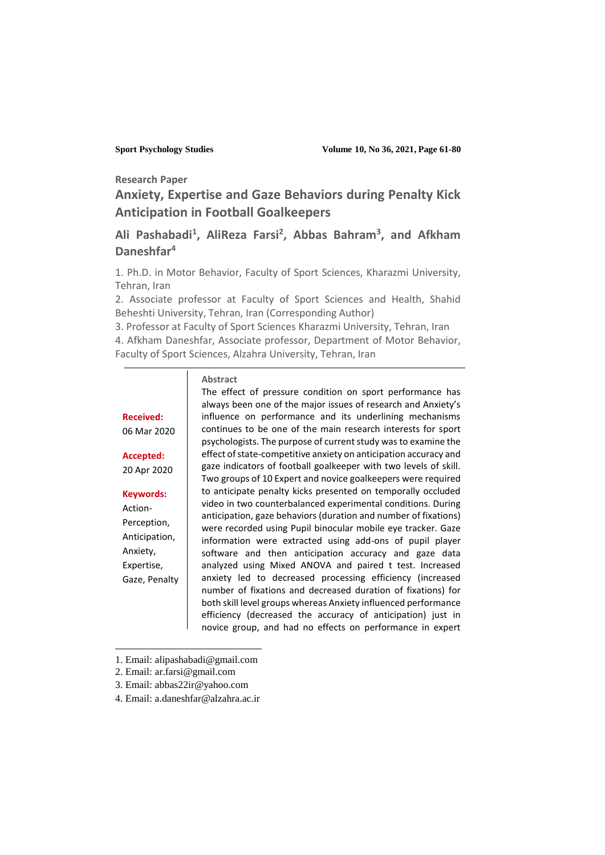**Research Paper**

**Anxiety, Expertise and Gaze Behaviors during Penalty Kick Anticipation in Football Goalkeepers <sup>1</sup>**

# **Ali Pashabadi<sup>1</sup> , AliReza Farsi<sup>2</sup> , Abbas Bahram<sup>3</sup> , and Afkham Daneshfar<sup>4</sup>**

1. Ph.D. in Motor Behavior, Faculty of Sport Sciences, Kharazmi University, Tehran, Iran

2. Associate professor at Faculty of Sport Sciences and Health, Shahid Beheshti University, Tehran, Iran (Corresponding Author)

3. Professor at Faculty of Sport Sciences Kharazmi University, Tehran, Iran 4. Afkham Daneshfar, Associate professor, Department of Motor Behavior, Faculty of Sport Sciences, Alzahra University, Tehran, Iran

#### **Abstract**

**Received:**  06 Mar 2020

**Accepted:**  20 Apr 2020

#### **Keywords:**

Action-Perception, Anticipation, Anxiety, Expertise, Gaze, Penalty

 $\overline{a}$ 

The effect of pressure condition on sport performance has always been one of the major issues of research and Anxiety's influence on performance and its underlining mechanisms continues to be one of the main research interests for sport psychologists. The purpose of current study was to examine the effect of state-competitive anxiety on anticipation accuracy and gaze indicators of football goalkeeper with two levels of skill. Two groups of 10 Expert and novice goalkeepers were required to anticipate penalty kicks presented on temporally occluded video in two counterbalanced experimental conditions. During anticipation, gaze behaviors (duration and number of fixations) were recorded using Pupil binocular mobile eye tracker. Gaze information were extracted using add-ons of pupil player software and then anticipation accuracy and gaze data analyzed using Mixed ANOVA and paired t test. Increased anxiety led to decreased processing efficiency (increased number of fixations and decreased duration of fixations) for both skill level groups whereas Anxiety influenced performance efficiency (decreased the accuracy of anticipation) just in novice group, and had no effects on performance in expert

- 1. Email: alipashabadi@gmail.com
- 2. Email: ar.farsi@gmail.com
- 3. Email: abbas22ir@yahoo.com
- 4. Email: a.daneshfar@alzahra.ac.ir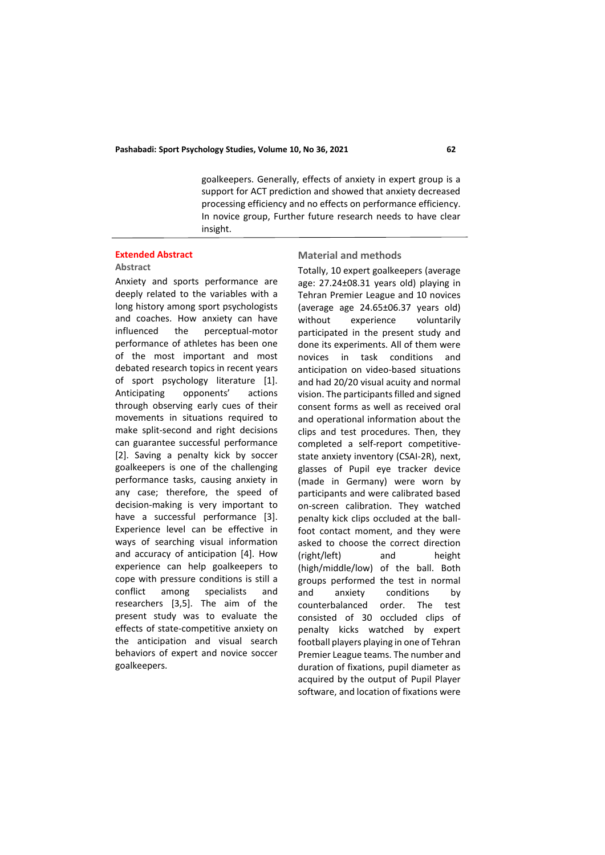#### **Pashabadi: Sport Psychology Studies, Volume 10, No 36, 2021 62**

goalkeepers. Generally, effects of anxiety in expert group is a support for ACT prediction and showed that anxiety decreased processing efficiency and no effects on performance efficiency. In novice group, Further future research needs to have clear insight.

#### **Extended Abstract Abstract**

Anxiety and sports performance are deeply related to the variables with a

long history among sport psychologists and coaches. How anxiety can have influenced the perceptual-motor performance of athletes has been one of the most important and most debated research topics in recent years of sport psychology literature [1]. Anticipating opponents' actions through observing early cues of their movements in situations required to make split-second and right decisions can guarantee successful performance [2]. Saving a penalty kick by soccer goalkeepers is one of the challenging performance tasks, causing anxiety in any case; therefore, the speed of decision-making is very important to have a successful performance [3]. Experience level can be effective in ways of searching visual information and accuracy of anticipation [4]. How experience can help goalkeepers to cope with pressure conditions is still a conflict among specialists and researchers [3,5]. The aim of the present study was to evaluate the effects of state-competitive anxiety on the anticipation and visual search behaviors of expert and novice soccer goalkeepers.

#### **Material and methods**

Totally, 10 expert goalkeepers (average age: 27.24±08.31 years old) playing in Tehran Premier League and 10 novices (average age 24.65±06.37 years old) without experience voluntarily participated in the present study and done its experiments. All of them were novices in task conditions and anticipation on video-based situations and had 20/20 visual acuity and normal vision. The participants filled and signed consent forms as well as received oral and operational information about the clips and test procedures. Then, they completed a self-report competitivestate anxiety inventory (CSAI-2R), next, glasses of Pupil eye tracker device (made in Germany) were worn by participants and were calibrated based on-screen calibration. They watched penalty kick clips occluded at the ballfoot contact moment, and they were asked to choose the correct direction (right/left) and height (high/middle/low) of the ball. Both groups performed the test in normal and anxiety conditions by counterbalanced order. The test consisted of 30 occluded clips of penalty kicks watched by expert football players playing in one of Tehran Premier League teams. The number and duration of fixations, pupil diameter as acquired by the output of Pupil Player software, and location of fixations were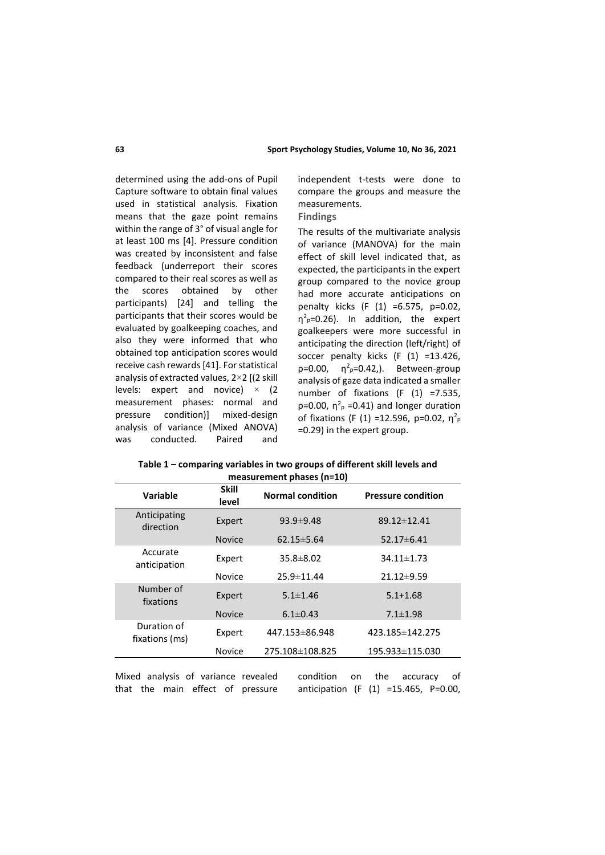determined using the add-ons of Pupil Capture software to obtain final values used in statistical analysis. Fixation means that the gaze point remains within the range of 3° of visual angle for at least 100 ms [4]. Pressure condition was created by inconsistent and false feedback (underreport their scores compared to their real scores as well as the scores obtained by other participants) [24] and telling the participants that their scores would be evaluated by goalkeeping coaches, and also they were informed that who obtained top anticipation scores would receive cash rewards [41]. For statistical analysis of extracted values, 2×2 [(2 skill levels: expert and novice)  $\times$  (2) measurement phases: normal and pressure condition)] mixed-design analysis of variance (Mixed ANOVA) conducted. Paired and

independent t-tests were done to compare the groups and measure the measurements.

#### **Findings**

The results of the multivariate analysis of variance (MANOVA) for the main effect of skill level indicated that, as expected, the participants in the expert group compared to the novice group had more accurate anticipations on penalty kicks (F (1) =6.575, p=0.02,  $\eta^2$ <sub>p</sub>=0.26). In addition, the expert goalkeepers were more successful in anticipating the direction (left/right) of soccer penalty kicks (F (1) =13.426, p=0.00,  $η<sup>2</sup><sub>p</sub>=0.42$ , Between-group analysis of gaze data indicated a smaller number of fixations (F (1) =7.535, p=0.00,  $\eta^2$ <sub>p</sub> =0.41) and longer duration of fixations (F (1) = 12.596, p=0.02,  $\eta^2$ <sub>p</sub> =0.29) in the expert group.

**Table 1 – comparing variables in two groups of different skill levels and measurement phases (n=10)**

| Variable                      | <b>Skill</b><br>level | <b>Normal condition</b> | <b>Pressure condition</b> |
|-------------------------------|-----------------------|-------------------------|---------------------------|
| Anticipating<br>direction     | Expert                | 93.9±9.48               | 89.12±12.41               |
|                               | <b>Novice</b>         | $62.15 \pm 5.64$        | 52.17±6.41                |
| Accurate<br>anticipation      | Expert                | $35.8 \pm 8.02$         | 34.11±1.73                |
|                               | <b>Novice</b>         | 25.9 ± 11.44            | $21.12 \pm 9.59$          |
| Number of<br>fixations        | Expert                | $5.1 \pm 1.46$          | $5.1 + 1.68$              |
|                               | <b>Novice</b>         | $6.1 \pm 0.43$          | $7.1 \pm 1.98$            |
| Duration of<br>fixations (ms) | Expert                | 447.153 ± 86.948        | 423.185±142.275           |
|                               | <b>Novice</b>         | 275.108±108.825         | 195.933±115.030           |

Mixed analysis of variance revealed that the main effect of pressure

condition on the accuracy of anticipation (F (1) =15.465, P=0.00,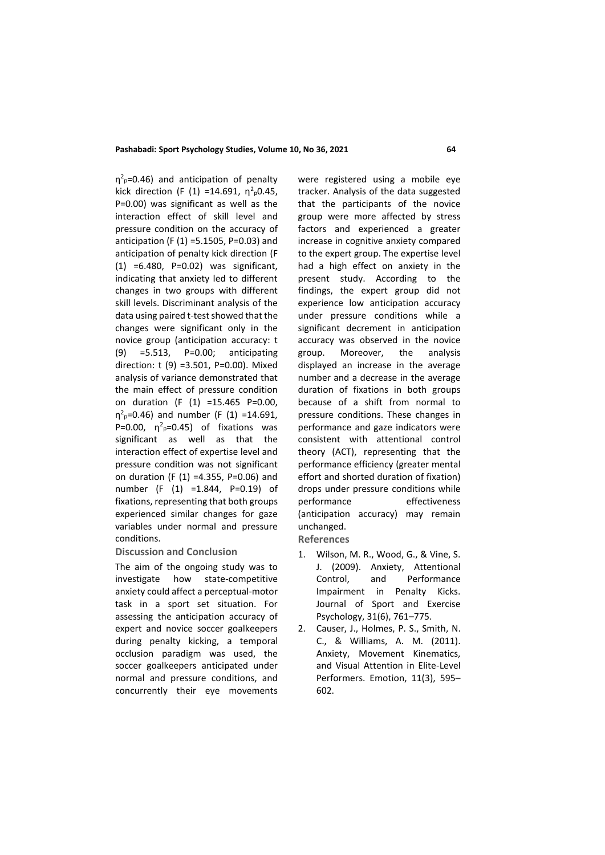#### **Pashabadi: Sport Psychology Studies, Volume 10, No 36, 2021 64**

 $\eta^2$ <sub>p</sub>=0.46) and anticipation of penalty kick direction (F (1) =14.691,  $\eta^2$ <sub>p</sub>0.45, P=0.00) was significant as well as the interaction effect of skill level and pressure condition on the accuracy of anticipation (F (1) =5.1505, P=0.03) and anticipation of penalty kick direction (F (1) =6.480, P=0.02) was significant, indicating that anxiety led to different changes in two groups with different skill levels. Discriminant analysis of the data using paired t-test showed that the changes were significant only in the novice group (anticipation accuracy: t (9) =5.513, P=0.00; anticipating direction: t (9) =3.501, P=0.00). Mixed analysis of variance demonstrated that the main effect of pressure condition on duration (F (1) =15.465 P=0.00,  $\eta^2$ <sub>p</sub>=0.46) and number (F (1) =14.691, P=0.00,  $\eta^2$ <sub>p</sub>=0.45) of fixations was significant as well as that the interaction effect of expertise level and pressure condition was not significant on duration (F (1) =4.355, P=0.06) and number (F (1) =1.844, P=0.19) of fixations, representing that both groups experienced similar changes for gaze variables under normal and pressure conditions.

**Discussion and Conclusion**

The aim of the ongoing study was to investigate how state-competitive anxiety could affect a perceptual-motor task in a sport set situation. For assessing the anticipation accuracy of expert and novice soccer goalkeepers during penalty kicking, a temporal occlusion paradigm was used, the soccer goalkeepers anticipated under normal and pressure conditions, and concurrently their eye movements were registered using a mobile eye tracker. Analysis of the data suggested that the participants of the novice group were more affected by stress factors and experienced a greater increase in cognitive anxiety compared to the expert group. The expertise level had a high effect on anxiety in the present study. According to the findings, the expert group did not experience low anticipation accuracy under pressure conditions while a significant decrement in anticipation accuracy was observed in the novice group. Moreover, the analysis displayed an increase in the average number and a decrease in the average duration of fixations in both groups because of a shift from normal to pressure conditions. These changes in performance and gaze indicators were consistent with attentional control theory (ACT), representing that the performance efficiency (greater mental effort and shorted duration of fixation) drops under pressure conditions while performance effectiveness (anticipation accuracy) may remain unchanged.

**References**

- 1. Wilson, M. R., Wood, G., & Vine, S. J. (2009). Anxiety, Attentional Control, and Performance Impairment in Penalty Kicks. Journal of Sport and Exercise Psychology, 31(6), 761–775.
- 2. Causer, J., Holmes, P. S., Smith, N. C., & Williams, A. M. (2011). Anxiety, Movement Kinematics, and Visual Attention in Elite-Level Performers. Emotion, 11(3), 595– 602.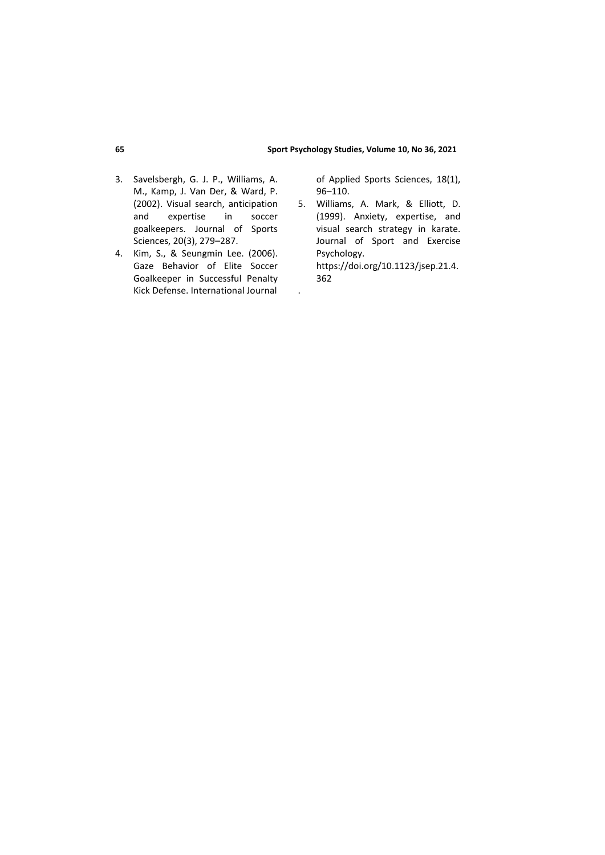#### **65 Sport Psychology Studies, Volume 10, No 36, 2021**

- 3. Savelsbergh, G. J. P., Williams, A. M., Kamp, J. Van Der, & Ward, P. (2002). Visual search, anticipation<br>and expertise in soccer and expertise in goalkeepers. Journal of Sports Sciences, 20(3), 279–287.
- 4. Kim, S., & Seungmin Lee. (2006). Gaze Behavior of Elite Soccer Goalkeeper in Successful Penalty Kick Defense. International Journal

of Applied Sports Sciences, 18(1), 96–110.

5. Williams, A. Mark, & Elliott, D. (1999). Anxiety, expertise, and visual search strategy in karate. Journal of Sport and Exercise Psychology. https://doi.org/10.1123/jsep.21.4. 362

.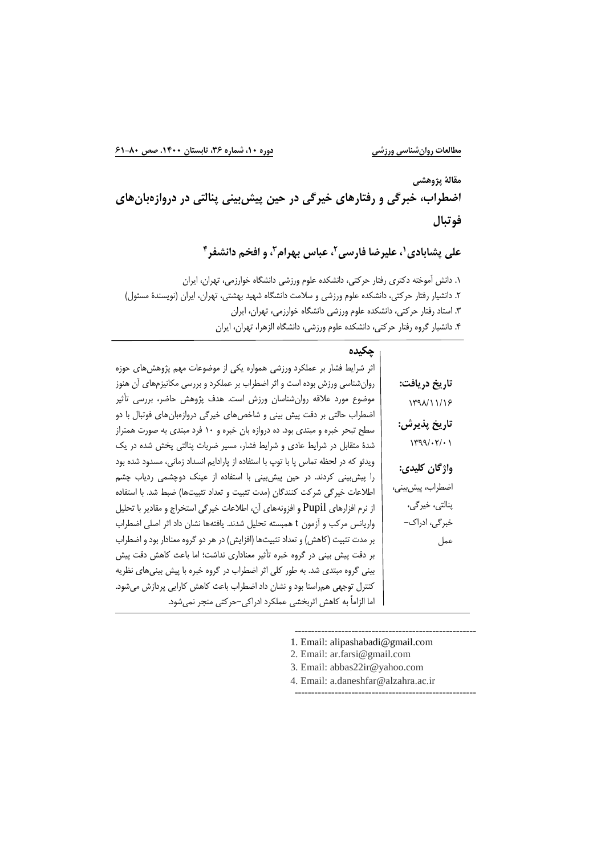**مقالة پژوهشی اضطراب، خبرگی و رفتارهاي خيرگی در حين پيشبينی پنالتی در دروازهبانهاي فوتبال**

**، و افخم دانشفر <sup>3</sup> ، عباس بهرام ،<sup>1</sup> عليرضا فارسی<sup>2</sup> علی پشابادي 4**

.1 دانش آموخته دكتري رفتار حركتي، دانشكده علوم ورزشي دانشگاه خوارزمي، تهران، ايران .2 دانشيار رفتار حركتي، دانشكده علوم ورزشي و سالمت دانشگاه شهيد بهشتي، تهران، ايران )نويسندۀ مسئول( .3 استاد رفتار حركتي، دانشكده علوم ورزشي دانشگاه خوارزمي، تهران، ايران .4 دانشيار گروه رفتار حركتي، دانشكده علوم ورزشي، دانشگاه الزهرا، تهران، ايران

| چکیدہ                                                                              |                                           |
|------------------------------------------------------------------------------------|-------------------------------------------|
| اثر شرایط فشار بر عملکرد ورزشی همواره یکی از موضوعات مهم پژوهشهای حوزه             |                                           |
| روانشناسی ورزش بوده است و اثر اضطراب بر عملکرد و بررسی مکانیزمهای آن هنوز          | تاريخ دريافت:                             |
| موضوع مورد علاقه روانِشناسان ورزش است. هدف پژوهش حاضر، بررسی تأثیر                 | $\gamma$ $\gamma$                         |
| اضطراب حالتی بر دقت پیش بینی و شاخصهای خیرگی دروازهبانهای فوتبال با دو             |                                           |
| سطح تبحر خبره و مبتدی بود. ده دروازه بان خبره و ۱۰ فرد مبتدی به صورت همتراز        | تاريخ پذيرش:                              |
| شدهٔ متقابل در شرایط عادی و شرایط فشار، مسیر ضربات پنالتی پخش شده در یک            | $\gamma$ / $\gamma$ / $\gamma$ / $\gamma$ |
| ویدئو که در لحظه تماس پا با توپ با استفاده از پارادایم انسداد زمانی، مسدود شده بود | واژگان کليدي:                             |
| را پیش بینی کردند. در حین پیش بینی با استفاده از عینک دوچشمی ردیاب چشم             |                                           |
| اطلاعات خیرگی شرکت کنندگان (مدت تثبیت و تعداد تثبیتها) ضبط شد. با استفاده          | اضطراب، پیشبینی،                          |
| از نرم افزارهای Pupil و افزونههای آن، اطلاعات خیرگی استخراج و مقادیر با تحلیل      | پنالتى، خيرگى،                            |
| واریانس مرکب و آزمون t همبسته تحلیل شدند. یافتهها نشان داد اثر اصلی اضطراب         | خبرگی، ادراک–                             |
| بر مدت تثبیت (کاهش) و تعداد تثبیتها (افزایش) در هر دو گروه معنادار بود و اضطراب    | عمل                                       |
| بر دقت پیش بینی در گروه خبره تأثیر معناداری نداشت؛ اما باعث کاهش دقت پیش           |                                           |
| بینی گروه مبتدی شد. به طور کلی اثر اضطراب در گروه خبره با پیش بینیهای نظریه        |                                           |
| کنترل توجهی همراستا بود و نشان داد اضطراب باعث کاهش کارایی پردازش میشود.           |                                           |
| اما الزاماً به کاهش اثربخشی عملکرد ادراکی–حرکتی منجر نمیشود.                       |                                           |

------------------------------------------------------ 1. Email: alipashabadi@gmail.com

- 2. Email: ar.farsi@gmail.com
- 3. Email: abbas22ir@yahoo.com
- 4. Email: a.daneshfar@alzahra.ac.ir
- ------------------------------------------------------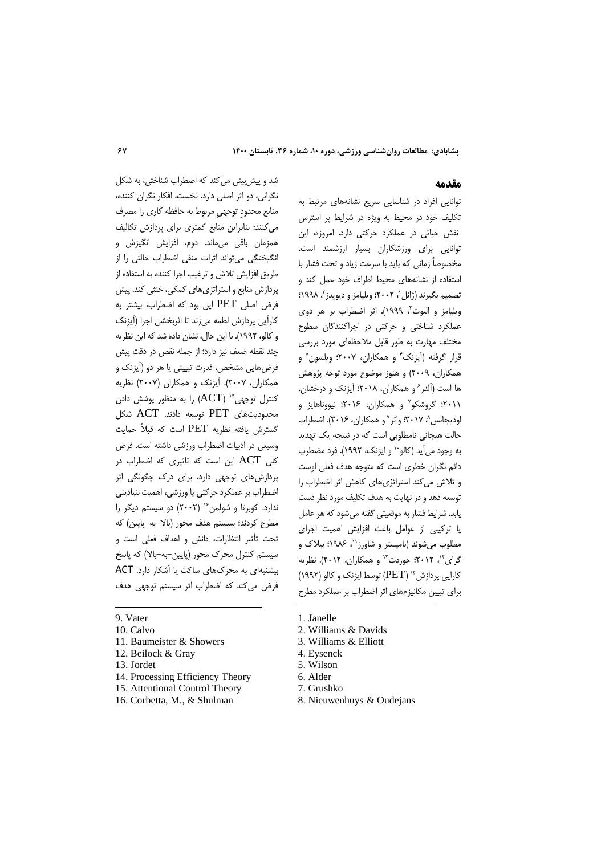### **مقدمه**

توانايي افراد در شناسايي سريع نشانههاي مرتبط به تكليف خود در محيط به ويژه در شرايط پر استرس نقش حياتي در عملكرد حركتي دارد. امروزه، اين توانايي براي ورزشكاران بسيار ارزشمند است، مخصوصاً زماني كه بايد با سرعت زياد و تحت فشار با استفاده از نشانههاي محيط اطراف خود عمل كند و نصميم بگيرند (ژانل`، ۲۰۰۲؛ ويليامز و ديويدز<sup>۲</sup>، ۱۹۹۸؛ ويليامز و اليوت"، ١٩٩٩). اثر اضطراب بر هر دوي عملكرد شناختي و حركتي در اجراكنندگان سطوح مختلف مهارت به طور قابل مالحظهاي مورد بررسي قرار گرفته (أيزنک<sup>۴</sup> و همکاران، ۲۰۰۷؛ ويلسون<sup>۵</sup> و همكاران، 2009( و هنوز موضوع مورد توجه پژوهش ها است (آلدر ً و همكاران، ۲۰۱۸؛ آيزنک و درخشان، ۲۰۱۱؛ گروشكو<sup>۷</sup> و همكاران، ۲۰۱۶؛ نيووناهايز و وديجانس^، ٢٠١٧؛ واتر ° و همكاران، ٢٠١۶). اضطراب حالت هيجاني نامطلوبي است كه در نتيجه يك تهديد به وجود مي آيد (كالو `` و ايزنك، ١٩٩٢). فرد مضطرب دائم نگران خطري است كه متوجه هدف فعلي اوست و تالش ميكند استراتژيهاي كاهش اثر اضطراب را توسعه دهد و در نهايت به هدف تكليف مورد نظر دست يابد. شرايط فشار به موقعيتي گفته ميشود كه هر عامل يا تركيبي از عوامل باعث افزايش اهميت اجراي مطلوب مي شوند (باميستر و شاورز``، ۱۹۸۶؛ بيلاک و گرای<sup>۱۲</sup>، ۲۰۱۲؛ جوردت<sup>۱۳</sup> و همکاران، ۲۰۱۲). نظریه كارايي پردازش\*' (PET) توسط ايزنك و كالو (١٩٩٢) براي تبيين مكانيزمهاي اثر اضطراب بر عملكرد مطرح

شد و پيشبيني ميكند كه اضطراب شناختي، به شكل نگراني، دو اثر اصلي دارد. نخست، افكار نگران كننده، منابع محدودِ توجهيِ مربوط به حافظه كاري را مصرف ميكنند؛ بنابراين منابع كمتري براي پردازش تكاليف همزمان باقي ميماند. دوم، افزايش انگيزش و انگيختگي ميتواند اثرات منفي اضطراب حالتي را از طريق افزايش تلاش و ترغيب اجرا كننده به استفاده از پردازش منابع و استراتژيهاي كمكي، خنثي كند. پيش فرض اصلي PET اين بود كه اضطراب، بيشتر به كارآيي پردازش لطمه ميزند تا اثربخشي اجرا )آيزنك و كالو، 1992(. با اين حال، نشان داده شد كه اين نظريه چند نقطه ضعف نيز دارد؛ از جمله نقص در دقت پيش فرضهايي مشخص، قدرت تبييني يا هر دو )آيزنك و همكاران، 2007(. آيزنك و همكاران )2007( نظريه ) کنترل توجهی<sup>۱۵</sup> (ACT) را به منظور پوشش دادن محدوديتهاي PET توسعه دادند. ACT شكل گسترش يافته نظريه PET است كه قبالً حمايت وسيعي در ادبيات اضطراب ورزشي داشته است. فرض كلي ACT اين است كه تاثيري كه اضطراب در پردازشهاي توجهي دارد، براي درك چگونگي اثر اضطراب بر عملكرد حركتي يا ورزشي، اهميت بنياديني ندارد. كوبرتا و شولمن ٢٠٠٢) دو سيستم ديگر را مطرح كردند؛ سيستم هدف محور (بالا–به–پايين) كه تحت تأثير انتظارات، دانش و اهداف فعلي است و سيستم كنترل محرك محور )پايين-به-باال( كه پاسخ بيشنيهاي به محركهاي ساكت يا آشكار دارد. ACT فرض ميكند كه اضطراب اثر سيستم توجهي هدف

- 14. Processing Efficiency Theory
- 15. Attentional Control Theory
- 16. Corbetta, M., & Shulman
- 1. Janelle
- 2. Williams & Davids
- 3. Williams & Elliott
- 4. Eysenck
- 5. Wilson
- 6. Alder
- 7. Grushko
- 8. Nieuwenhuys & Oudejans

<sup>9.</sup> Vater

<sup>10.</sup> Calvo

<sup>11.</sup> Baumeister & Showers

<sup>12.</sup> Beilock & Gray

<sup>13.</sup> Jordet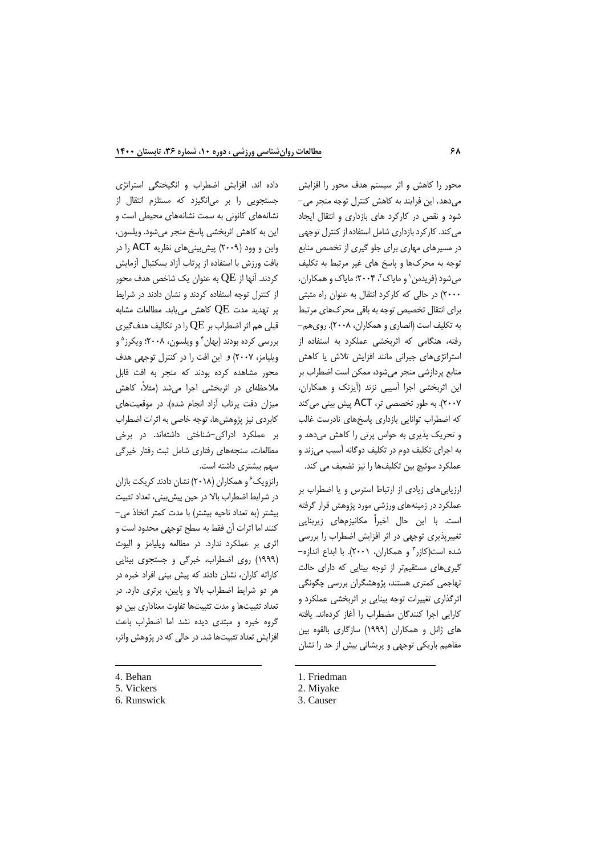محور را كاهش و اثر سيستم هدف محور را افزايش ميدهد. اين فرايند به كاهش كنترل توجه منجر مي- شود و نقص در كاركرد هاي بازداري و انتقال ايجاد ميكند. كاركرد بازداري شامل استفاده از كنترل توجهي در مسيرهاي مهاري براي جلو گيري از تخصص منابع توجه به محركها و پاسخ هاي غير مرتبط به تكليف میشود (فريدمن` و ماياک'، ۲۰۰۴؛ ماياک و همكاران، 2000( در حالي كه كاركرد انتقال به عنوان راه مثبتي براي انتقال تخصيص توجه به باقي محركهاي مرتبط به تكليف است (انصاري و همكاران، ٢٠٠٨). روي هم-رفته، هنگامي كه اثربخشي عملكرد به استفاده از استراتژيهاي جبراني مانند افزايش تالش يا كاهش منابع پردازشي منجر ميشود، ممكن است اضطراب بر اين اثربخشي اجرا آسيبي نزند )آيزنك و همكاران، 2007(. به طور تخصصي تر، ACT پيش بيني ميكند كه اضطراب توانايي بازداري پاسخهاي نادرست غالب و تحريك پذيري به حواس پرتي را كاهش ميدهد و به اجراي تكليف دوم در تكليف دوگانه آسيب ميزند و عملكرد سوئيچ بين تكليفها را نيز تضعيف مي كند.

ارزيابيهاي زيادي از ارتباط استرس و يا اضطراب بر عملكرد در زمينههاي ورزشي مورد پژوهش قرار گرفته است. با اين حال اخيراً مكانيزمهاي زيربنايي تغييرپذيري توجهي در اثر افزايش اضطراب را بررسي شده است(كازر<sup>»</sup> و همكاران، ۲۰۰۱). با ابداع اندازه-گيريهاي مستقيمتر از توجه بينايي كه داراي حالت تهاجمي كمتري هستند، پژوهشگران بررسي چگونگي اثرگذاري تغييرات توجه بينايي بر اثربخشي عملكرد و كارايي اجرا كنندگان مضطراب را آغاز كردهاند. يافته هاي ژانل و همكاران )1999( سازگاري بالقوه بين مفاهيم باريكي توجهي و پريشاني بيش از حد را نشان

1. Friedman

داده اند. افزايش اضطراب و انگيختگي استراتژي جستجويي را بر ميانگيزد كه مستلزم انتقال از نشانههاي كانوني به سمت نشانههاي محيطي است و اين به كاهش اثربخشي پاسخ منجر ميشود. ويلسون، واين و وود )2009( پيشبينيهاي نظريه ACT را در بافت ورزش با استفاده از پرتاب آزاد بسكتبال آزمايش كردند. آنها از  $\mathrm{QE}$  به عنوان يك شاخص هدف محور از كنترل توجه استفاده كردند و نشان دادند در شرايط پر تهديد مدت  $\mathrm{QE}$  كاهش مىيابد. مطالعات مشابه قبلي هم اثر اضطراب بر  $\mathrm{QE}$  را در تكاليف هدفگيري بررسی کرده بودند (بهان<sup>۲</sup> و ویلسون، ۲۰۰۸؛ ویکرز<sup>ه</sup> و ويليامز، 2007( و اين افت را در كنترل توجهي هدف محور مشاهده كرده بودند كه منجر به افت قابل مالحظهاي در اثربخشي اجرا ميشد )مثال،ً كاهش ميزان دقت پرتاب آزاد انجام شده). در موقعيتهاي كابردي نيز پژوهشها، توجه خاصي به اثرات اضطراب بر عملكرد ادراكي-شناختي داشتهاند. در برخي مطالعات، سنجههاي رفتاري شامل ثبت رفتار خيرگي سهم بيشتري داشته است.

رانزويک ً و همكاران (۲۰۱۸) نشان دادند كريكت بازان در شرايط اضطراب باال در حين پيشبيني، تعداد تثبيت بيشتر )به تعداد ناحيه بيشتر( با مدت كمتر اتخاذ مي- كنند اما اثرات آن فقط به سطح توجهي محدود است و اثري بر عملكرد ندارد. در مطالعه ويليامز و اليوت )1999( روي اضطراب، خبرگي و جستجوي بينايي كاراته كاران، نشان دادند كه پيش بيني افراد خبره در هر دو شرايط اضطراب باال و پايين، برتري دارد. در تعداد تثبيتها و مدت تثبيتها تفاوت معناداري بين دو گروه خبره و مبتدي ديده نشد اما اضطراب باعث افزايش تعداد تثبيتها شد. در حالي كه در پژوهش واتر،

4. Behan

- 5. Vickers
- 6. Runswick

<sup>2.</sup> Miyake

<sup>3.</sup> Causer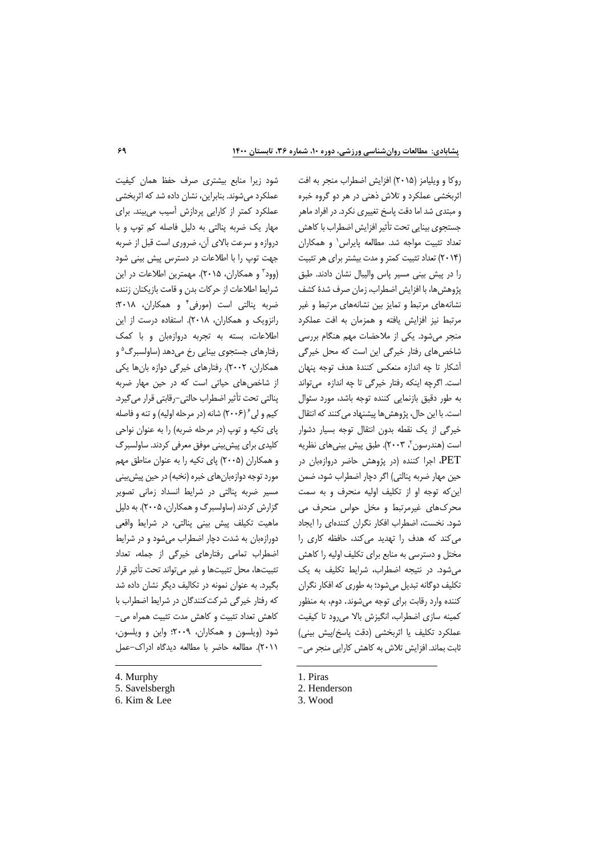شود زيرا منابع بيشتري صرف حفظ همان كيفيت عملكرد ميشوند. بنابراين، نشان داده شد كه اثربخشي عملكرد كمتر از كارايي پردازش آسيب ميبيند. براي مهار يك ضربه پنالتي به دليل فاصله كم توپ و با دروازه و سرعت باالي آن، ضروري است قبل از ضربه جهت توپ را با اطالعات در دسترس پيش بيني شود 3 )وود و همكاران، 2015(. مهمترين اطالعات در اين شرايط اطالعات از حركات بدن و قامت بازيكنان زننده ضربه پنالتي است (مورفي<sup>۴</sup> و همكاران، ۲۰۱۸: رانزويك و همكاران، 2018(. استفاده درست از اين اطالعات، بسته به تجربه دروازهبان و با كمك رفتارها*ی* جستجوی بینایی رخ میدهد (ساولسبرگ<sup>۵</sup> و همكاران، 2002(. رفتارهاي خيرگي دوازه بانها يكي از شاخصهاي حياتي است كه در حين مهار ضربه پنالتي تحت تأثير اضطراب حالتي-رقابتي قرار ميگيرد. كيم و لي ۶ (۲۰۰۶) شانه (در مرحله اوليه) و تنه و فاصله ياي تكيه و توپ (در مرحله ضربه) را به عنوان نواحي كليدي براي پيشبيني موفق معرفي كردند. ساولسبرگ و همكاران )2005( پاي تكيه را به عنوان مناطق مهم مورد توجه دوازهبانهاي خبره (نخبه) در حين پيشبيني مسير ضربه پنالتي در شرايط انسداد زماني تصوير گزارش كردند)ساولسبرگ و همكاران، 2005(. به دليل ماهيت تكيلف پيش بيني پنالتي، در شرايط واقعي دورازهبان به شدت دچار اضطراب ميشود و در شرايط اضطراب تمامي رفتارهاي خيرگي از جمله، تعداد تثبيتها، محل تثبيتها و غير ميتواند تحت تأثير قرار بگيرد. به عنوان نمونه در تكاليف ديگر نشان داده شد كه رفتار خيرگي شركتكنندگان در شرايط اضطراب با كاهش تعداد تثبيت و كاهش مدت تثبيت همراه مي- شود )ويلسون و همكاران، 2009؛ واين و ويلسون، 2011(. مطالعه حاضر با مطالعه ديدگاه ادراك-عمل

4. Murphy

 $\overline{a}$ 

روكا و ويليامز )2015( افزايش اضطراب منجر به افت اثربخشي عملكرد و تالش ذهني در هر دو گروه خبره و مبتدي شد اما دقت پاسخ تغييري نكرد. در افراد ماهر جستجوي بينايي تحت تأثير افزايش اضطراب با كاهش تعداد تثبيت مواجه شد. مطالعه پايراس` و همكارا*ن* )2014( تعداد تثبيت كمتر و مدت بيشتر براي هر تثبيت را در پيش بيني مسير پاس واليبال نشان دادند. طبق پژوهشها، با افزايش اضطراب، زمان صرف شدۀ كشف نشانههاي مرتبط و تمايز بين نشانههاي مرتبط و غير مرتبط نيز افزايش يافته و همزمان به افت عملكرد منجر ميشود. يكي از مالحضات مهم هنگام بررسي شاخصهاي رفتار خيرگي اين است كه محل خيرگي آشكار تا چه اندازه منعكس كنندۀ هدف توجه پنهان است. اگرچه اينكه رفتار خيرگي تا چه اندازه ميتواند به طور دقيق بازنمايي كننده توجه باشد، مورد سئوال است. با اين حال، پژوهش ها پيشنهاد مي كنند كه انتقال خيرگي از يك نقطه بدون انتقال توجه بسيار دشوار ُست (هندرسون <sup>۲</sup>، ۲۰۰۳). طبق پیش بینیهای نظریه PET، اجرا كننده )در پژوهش حاضر دروازهبان در حين مهار ضربه پنالتي) اگر دچار اضطراب شود، ضمن اينكه توجه او از تكليف اوليه منحرف و به سمت محركهاي غيرمرتبط و مخل حواس منحرف مي شود. نخست، اضطراب افكار نگران كنندهاي را ايجاد ميكند كه هدف را تهديد ميكند، حافظه كاري را مختل و دسترسي به منابع براي تكليف اوليه را كاهش ميشود. در نتيجه اضطراب، شرايط تكليف به يك تكليف دوگانه تبديل ميشود؛ به طوري كه افكار نگران كننده وارد رقابت براي توجه ميشوند. دوم، به منظور كمينه سازي اضطراب، انگيزش باال ميرود تا كيفيت عملكرد تكليف يا اثربخشي (دقت پاسخ/پيش بيني) ثابت بماند. افزايش تالش به كاهش كارايي منجر مي-

1. Piras

3. Wood

<sup>5.</sup> Savelsbergh

<sup>6.</sup> Kim & Lee

<sup>2.</sup> Henderson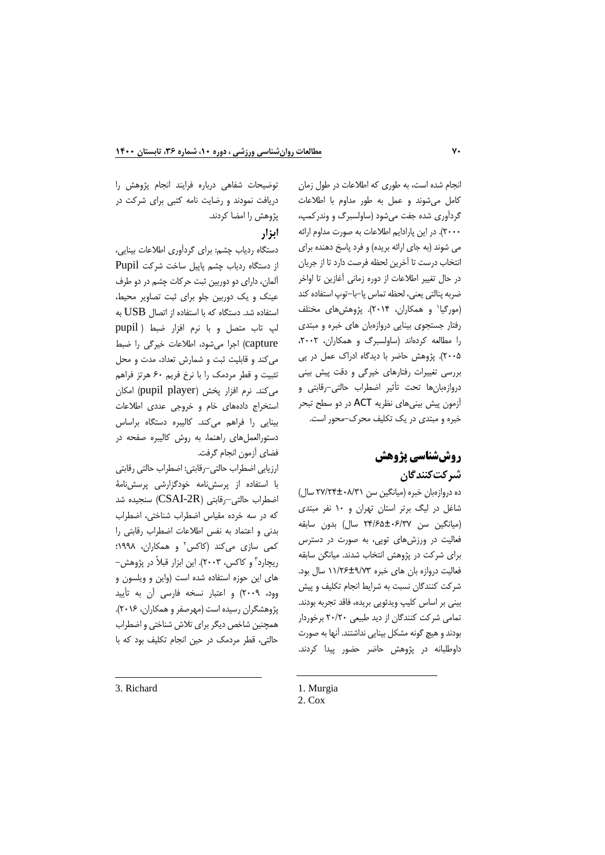انجام شده است، به طوري كه اطالعات در طول زمان كامل ميشوند و عمل به طور مداوم با اطالعات گردآوري شده جفت ميشود )ساولسبرگ و وندركمپ، 2000(. در اين پارادايم اطالعات به صورت مداوم ارائه مي شوند (به جاي ارائه بريده) و فرد پاسخ دهنده براي انتخاب درست تا آخرين لحظه فرصت دارد تا از جريان در حال تغيير اطالعات از دوره زماني آغازين تا اواخر ضربه پنالتي يعني، لحظه تماس پا-با-توپ استفاده كند 1 )مورگيا و همكاران، 2014(. پژوهشهاي مختلف رفتار جستجوي بينايي دروازهبان هاي خبره و مبتدي را مطالعه كردهاند (ساولسبرگ و همكاران، ۲۰۰۲، 2005(. پژوهش حاضر با ديدگاه ادراك عمل در پي بررسي تغييرات رفتارهاي خيرگي و دقت پيش بيني دروازهبانها تحت تأثير اضطراب حالتي-رقابتي و آزمون پيش بينيهاي نظريه ACT در دو سطح تبحر خبره و مبتدي در يك تكليف محرك-محور است.

# **روششناسي پژوهش شرکتکنندگان**

ده دروازهبان خبره )ميانگين سن 27/24±08/31 سال( شاغل در ليگ برتر استان تهران و 10 نفر مبتدي )ميانگين سن 24/65±06/37 سال( بدون سابقه فعاليت در ورزشهاي توپي، به صورت در دسترس براي شركت در پژوهش انتخاب شدند. ميانگن سابقه فعاليت دروازه بان هاي خبره 11/26±9/73 سال بود. شركت كنندگان نسبت به شرايط انجام تكليف و پيش بيني بر اساس كليپ ويدئويي بريده، فاقد تجربه بودند. تمامي شركت كنندگان از ديد طبيعي 20/20 برخوردار بودندو هيچ گونه مشكل بينايي نداشتند. آنها به صورت داوطلبانه در پژوهش حاضر حضور پيدا كردند.

دريافت نمودند و رضايت نامه كتبي براي شركت در پژوهش را امضا كردند. **ابزار**

توضيحات شفاهي درباره فرايند انجام پژوهش را

دستگاه ردياب چشم: براي گردآوري اطالعات بينايي، از دستگاه ردياب چشم پاپيل ساخت شركت Pupil آلمان، داراي دو دوربين ثبت حركات چشم در دو طرف عينك و يك دوربين جلو براي ثبت تصاوير محيط، استفاده شد. دستگاه كه با استفاده از اتصال  $\rm{USB}$  به لپ تاب متصل و با نرم افزار ضبط ) pupil capture )اجرا ميشود، اطالعات خيرگي را ضبط ميكند و قابليت ثبت و شمارش تعداد، مدت و محل تثبيت و قطر مردمك را با نرخ فريم 60 هرتز فراهم میكند. نرم افزار پخش (pupil player) امكان استخراج دادههاي خام و خروجي عددي اطالعات بينايي را فراهم ميكند. كاليبره دستگاه براساس دستورالعملهاي راهنما، به روش كاليبره صفحه در فضاي آزمون انجام گرفت.

ارزيابي اضطراب حالتي-رقابتي: اضطراب حالتي رقابتي با استفاده از پرسشنامه خودگزارشي پرسشنامۀ اضطراب حالتي–رقابتي (CSAI-2R) سنجيده شد كه در سه خرده مقياس اضطراب شناختي، اضطراب بدني و اعتماد به نفس اطالعات اضطراب رقابتي را كمى سازى مىكند (كاكس<sup>٬</sup> و همكاران، ۱۹۹۸؛ ريچارد" و كاكس، ٢٠٠٣). اين ابزار قبلاً در پژوهش– هاي اين حوزه استفاده شده است )واين و ويلسون و وود، 2009( و اعتبار نسخه فارسي آن به تأييد پژوهشگران رسيده است )مهرصفر و همكاران، 2016(. همچنين شاخص ديگر براي تالش شناختي و اضطراب حالتي، قطر مردمك در حين انجام تكليف بود كه با

3. Richard

<sup>1.</sup> Murgia

<sup>2.</sup> Cox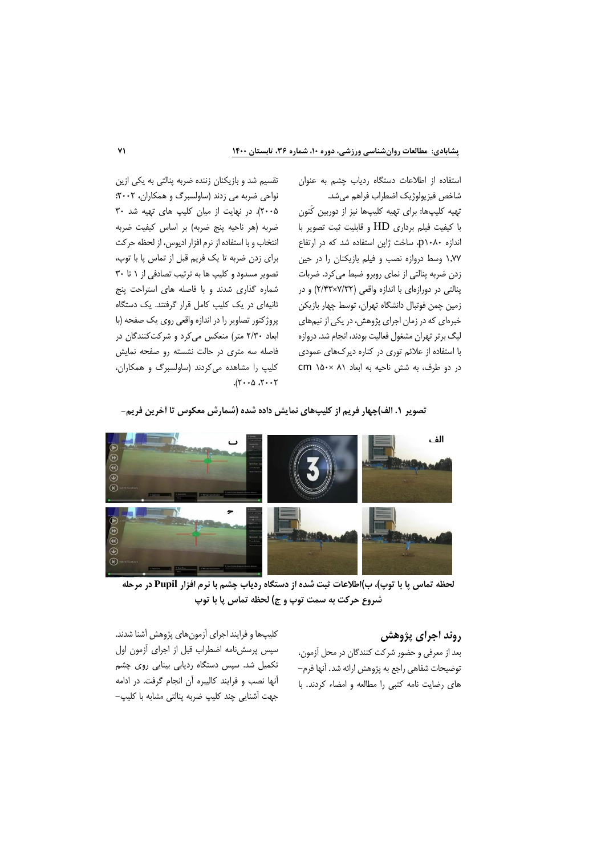استفاده از اطالعات دستگاه ردياب چشم به عنوان شاخص فيزيولوژيك اضطراب فراهم ميشد. تهيه كليپها: براي تهيه كليپها نيز از دوربين كَنون با كيفيت فيلم برداري HD و قابليت ثبت تصوير با اندازه 1080p، ساخت ژاپن استفاده شد كه در ارتفاع 1.77 وسط دروازه نصب و فيلم بازيكنان را در حين زدن ضربه پنالتي از نماي روبرو ضبط ميكرد. ضربات پنالتي در دورازهاي با اندازه واقعي )7/32×2/43( و در زمين چمن فوتبال دانشگاه تهران، توسط چهار بازيكن خبرهاي كه در زمان اجراي پژوهش، در يكي از تيمهاي ليگ برتر تهران مشغول فعاليت بودند، انجام شد. دروازه با استفاده از عالئم توري در كناره ديركهاي عمودي در دو طرف، به شش ناحيه به ابعاد 81 ×150 cm

تقسيم شد و بازيكنان زننده ضربه پنالتي به يكي ازين نواحي ضربه مي زدند )ساولسبرگ و همكاران، 2002؛ 2005(. در نهايت از ميان كليپ هاي تهيه شد 30 ضربه (هر ناحيه پنج ضربه) بر اساس كيفيت ضربه انتخاب و با استفاده از نرم افزار اديوس، از لحظه حركت براي زدن ضربه تا يك فريم قبل از تماس پا با توپ، تصوير مسدود و كليپ ها به ترتيب تصادفي از 1 تا 30 شماره گذاري شدند و با فاصله هاي استراحت پنج ثانيهاي در يك كليپ كامل قرار گرفتند. يك دستگاه پروژكتور تصاوير را در اندازه واقعي روي يك صفحه )با ابعاد ٢/٣٠ متر) منعكس مي كرد و شركت كنندگان در فاصله سه متري در حالت نشسته رو صفحه نمايش كليپ را مشاهده ميكردند )ساولسبرگ و همكاران،  $7.76$  ،  $2.7$ 

**تصوير .1 الف(چهار فريم از کليپهاي نمايش داده شده )شمارش معكوس تا آخرين فريم-**



**لحظه تماس پا با توپ(، ب(اطالعات ثبت شده از دستگاه ردياب چشم با نرم افزار Pupil در مرحله شروع حرکت به سمت توپ و ج( لحظه تماس پا با توپ**

## **روند اجراي پژوهش**

بعد از معرفي و حضور شركت كنندگان در محل آزمون، توضيحات شفاهي راجع به پژوهش ارائه شد. آنها فرم- هاي رضايت نامه كتبي را مطالعه و امضاء كردند. با

كليپها و فرايند اجراي آزمونهاي پژوهش آشنا شدند. سپس پرسشنامه اضطراب قبل از اجراي آزمون اول تكميل شد. سپس دستگاه رديابي بينايي روي چشم آنها نصب و فرايند كاليبره آن انجام گرفت. در ادامه جهت آشنايي چند كليپ ضربه پنالتي مشابه با كليپ-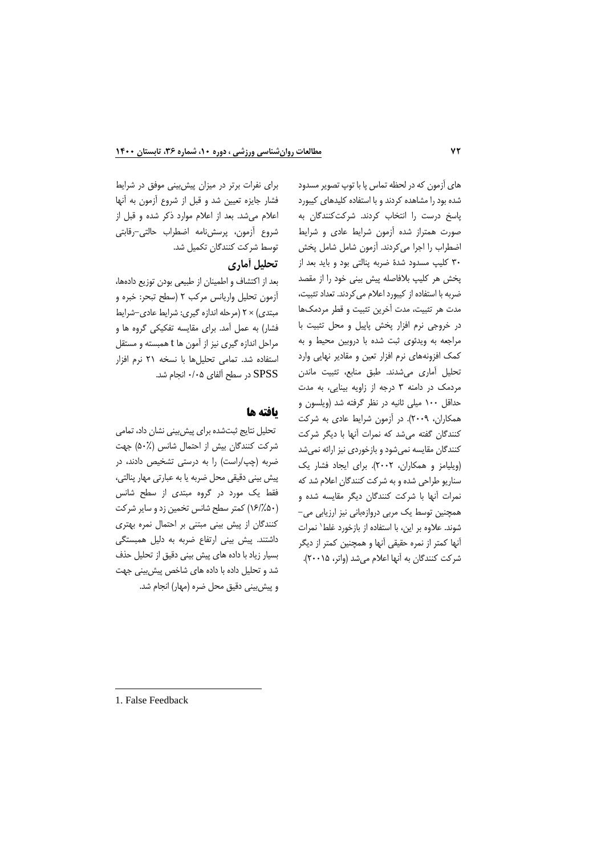هاي آزمون كه در لحظه تماس پا با توپ تصوير مسدود شده بود را مشاهده كردند و با استفاده كليدهاي كيبورد پاسخ درست را انتخاب كردند. شركتكنندگان به صورت همتراز شده آزمون شرايط عادي و شرايط اضطراب را اجرا ميكردند. آزمون شامل شامل پخش 30 كليپ مسدود شدۀ ضربه پنالتي بود و بايد بعد از پخش هر كليپ بالفاصله پيش بيني خود را از مقصد ضربه با استفاده از كيبورد اعالم ميكردند. تعداد تثبيت، مدت هر تثبيت، مدت آخرين تثبيت و قطر مردمكها در خروجي نرم افزار پخش پاپيل و محل تثبيت با مراجعه به ويدئوي ثبت شده با دروبين محيط و به كمك افزونههاي نرم افزار تعين و مقادير نهايي وارد تحليل آماري ميشدند. طبق منابع، تثبيت ماندن مردمك در دامنه 3 درجه از زاويه بينايي، به مدت حداقل 100 ميلي ثانيه در نظر گرفته شد )ويلسون و همكاران، 2009(. در آزمون شرايط عادي به شركت كنندگان گفته ميشد كه نمرات آنها با ديگر شركت كنندگان مقايسه نميشود و بازخوردي نيز ارائه نميشد )ويليامز و همكاران، 2002(. براي ايجاد فشار يك سناريو طراحي شده و به شركت كنندگان اعالم شد كه نمرات آنها با شركت كنندگان ديگر مقايسه شده و همچنين توسط يك مربي دروازهباني نيز ارزيابي مي- شوند. علاوه بر اين، با استفاده از بازخورد غلط\ نمرات آنها كمتر از نمره حقيقي آنها و همچنين كمتر از ديگر شركت كنندگان به آنها اعلام ميشد (واتر، ٢٠٠١۵).

براي نفرات برتر در ميزان پيشبيني موفق در شرايط فشار جايزه تعيين شد و قبل از شروع آزمون به آنها اعالم ميشد. بعد از اعالم موارد ذكر شده و قبل از شروع آزمون، پرسشنامه اضطراب حالتي-رقابتي توسط شركت كنندگان تكميل شد.

## **تحليل آماري**

بعد از اكتشاف و اطمينان از طبيعي بودن توزيع دادهها، آزمون تحليل واريانس مركب 2 )سطح تبحر: خبره و مبتدي) × ٢ (مرحله اندازه گيري: شرايط عادي-شرايط فشار( به عمل آمد. براي مقايسه تفكيكي گروه ها و مراحل اندازه گيري نيز از آمون ها t همبسته و مستقل استفاده شد. تمامي تحليلها با نسخه 21 نرم افزار SPSS در سطح آلفاي 0/05 انجام شد.

## **يافته ها**

تحليل نتايج ثبتشده براي پيشبيني نشان داد، تمامي شركت كنندگان بيش از احتمال شانس )50%( جهت ضربه (چپ/راست) را به درستي تشخيص دادند، در پيش بيني دقيقي محل ضربه يا به عبارتي مهار پنالتي، فقط يك مورد در گروه مبتدي از سطح شانس )16/%50( كمتر سطح شانس تخمين زد و ساير شركت كنندگان از پيش بيني مبتني بر احتمال نمره بهتري داشتند. پيش بيني ارتفاع ضربه به دليل همبستگي بسيار زياد با داده هاي پيش بيني دقيق از تحليل حذف شد و تحليل داده با داده هاي شاخص پيشبيني جهت و پيش بيني دقيق محل ضره (مهار) انجام شد.

<sup>1.</sup> False Feedback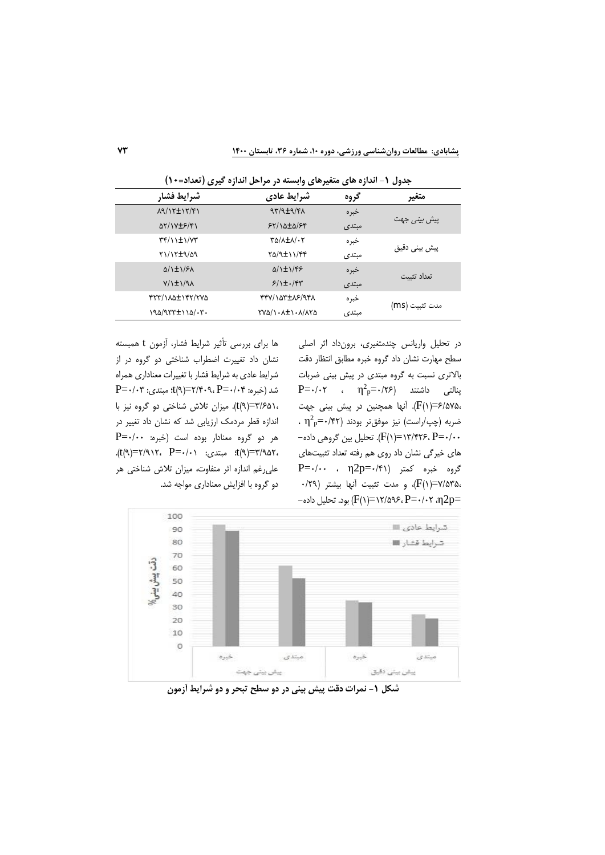در تحليل واريانس چندمتغيري، برونداد اثر اصلي سطح مهارت نشان داد گروه خبره مطابق انتظار دقت باالتري نسبت به گروه مبتدي در پيش بيني ضربات  $P = \cdot$ بنالتی داشتند  $\eta^2 P = \cdot / \tau$  ،  $\eta^2 P = \cdot / \tau$ 6/575،=)1(F). آنها همچنين در پيش بيني جهت  $\cdot$  شربه (چپ/راست) نيز موفقتر بودند (۴۲ $^2$ =۰/۴۲ $^2$ 0/00=(1)(+1)F(1)=1۳/۴۲۶، P=- $\cdot/\cdot\cdot$ . تحليل بين گروهي داده. هاي خيرگي نشان داد روي هم رفته تعداد تثبيتهاي گروه خبره كمتر )0/41=p2η ، 0/00=P 7/535،=)1(F)، و مدت تثبيت آنها بيشتر )0/29 -د. تحليل داده (F(۱)=۱۲/۵۹۶، P=۰/۰۲ ،η2p=

| شرايط فشار                                                 | شرايط عادي                                                 | گروه  | متغير               |
|------------------------------------------------------------|------------------------------------------------------------|-------|---------------------|
| 19/17±17/41                                                | $97/9 \pm 9/7$                                             | خبره  |                     |
| ar/1V±۶/۴1                                                 | 55/1000/55                                                 | مبتدى | پیش <i>بینی</i> جهت |
| $\Upsilon(\gamma)$                                         | TA/AIA/.Y                                                  | خبره  | پیش بینے دقیق       |
| P1/17±9/09                                                 | TQ/9±11/44                                                 | مبتدى |                     |
| $\Delta/\left(\frac{1}{2}\right)/\left(\frac{1}{2}\right)$ | $\Delta/\left(\frac{1}{2}\right)/\left(\frac{1}{2}\right)$ | خبر ہ | تعداد تثىت          |
| $Y/\iota$ $\pm \iota$ /9 $\Lambda$                         | $5/1$ +./۴۳                                                | مبتدى |                     |
| FTT/110±1FT/TVQ                                            | PPV/100+10F/9PA                                            | خبر ہ | مدت تثبيت (ms)      |
| $190/977 \pm 110/17$ .                                     | TYQ/1 - A±1 - A/ATQ                                        | مبتدى |                     |

**جدول -1 اندازه هاي متغيرهاي وابسته در مراحل اندازه گيري )تعداد=10(**

ها براي بررسي تأثير شرايط فشار، آزمون t همبسته نشان داد تغييرت اضطراب شناختي دو گروه در از شرايط عادي به شرايط فشار با تغييرات معناداري همراه  $P = \cdot / \cdot r$  : مبتدى: 0/03=(٩)؛ مبتدى: 0/03=(9) 3/651،=)9(t). ميزان تالش شناختي دو گروه نيز با اندازه قطر مردمك ارزيابي شد كه نشان داد تغيير در هر دو گروه معنادار بوده است )خبره: 0/00=P .t(٩)=٢/٩١٢، P=٠/٠١، 2=1). عليرغم اندازه اثر متفاوت، ميزان تالش شناختي هر دو گروه با افزايش معناداري مواجه شد.



**شكل -1 نمرات دقت پيش بينی در دو سطح تبحر و دو شرايط آزمون**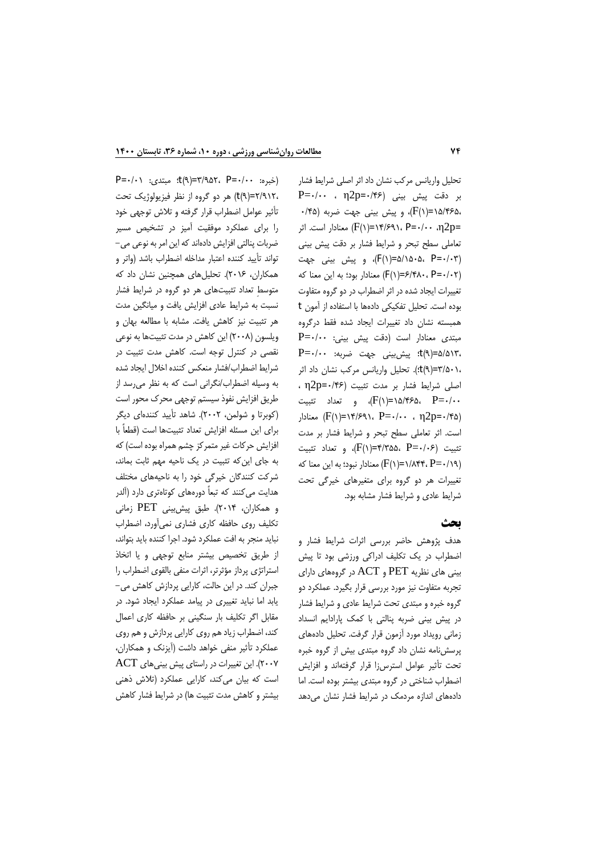تحليل واريانس مركب نشان داد اثر اصلي شرايط فشار  $P = \cdot / \cdot \cdot$  ,  $\eta 2p = \cdot / \cdot$ بر دقت پیش بینی ( 15/465،=)1(F)، و پيش بيني جهت ضربه )0/45 ابر ۲۴/۶۹۱، P=۰/۰۰ ، $\mathbb{F}(\mathsf{I}) = \mathsf{I}(\mathsf{I})/F$  معنادار است. اثر تعاملي سطح تبحر و شرايط فشار بر دقت پيش بيني )0/03=P 5/1505،(=1)F)، و پيش بيني جهت )0/02=P 6/480،(=1)F )معنادار بود؛ به اين معنا كه تغييرات ايجاد شده در اثر اضطراب در دو گروه متفاوت بوده است. تحليل تفكيكي دادهها با استفاده از آمون t همبسته نشان داد تغييرات ايجاد شده فقط درگروه  $P = \cdot / \cdot$ ۰ مبتدى معنادار است (دقت پيش بيني: 5/513،=)9(t؛ پيشبيني جهت ضربه: 0/00=P 3/501،=)9(t؛(. تحليل واريانس مركب نشان داد اثر اصلي شرايط فشار بر مدت تثبيت )0/46=p2η ، 0/07/06/0 $\langle F(\lambda) = \lambda \lambda$ /15/46 تثبيت)، و تعداد تثبيت، معنادار (F(۱)=۱۴/۶۹۱، P=۰/۰۰ ، η2p=۰/۴۵ است. اثر تعاملي سطح تبحر و شرايط فشار بر مدت تثبيت (P=٠/٠۶، F(١)=۴/٣۵۵، P=٠/٠۶م، معنادار نبود؛ به اين معنا كه (۲/۱۹+(F )معنادار  $(F(\lambda)^{\equiv \nu})/\lambda$ تغييرات هر دو گروه براي متغيرهاي خيرگي تحت شرايط عادي و شرايط فشار مشابه بود.

#### **بحث**

هدف پژوهش حاضر بررسي اثرات شرايط فشار و اضطراب در يك تكليف ادراكي ورزشي بود تا پيش بيني هاي نظريه PET و ACT در گروههاي داراي تجربه متفاوت نيز مورد بررسي قرار بگيرد. عملكرد دو گروه خبره و مبتدي تحت شرايط عادي و شرايط فشار در پيش بيني ضربه پنالتي با كمك پارادايم انسداد زماني رويداد مورد آزمون قرار گرفت. تحليل دادههاي پرسشنامه نشان داد گروه مبتدي بيش از گروه خبره تحت تأثير عوامل استرسزا قرار گرفتهاند و افزايش اضطراب شناختي در گروه مبتدي بيشتر بوده است. اما دادههاي اندازه مردمك در شرايط فشار نشان ميدهد

 $P = \cdot / \cdot$  3/4/07=(1)  $t(9) = r/9 \Delta Y$ ،  $P = \cdot / \cdot$  3/4/07 2/912،=)9(t )هر دو گروه از نظر فيزيولوژيك تحت تأثير عوامل اضطراب قرار گرفته و تالش توجهي خود را براي عملكرد موفقيت آميز در تشخيص مسير ضربات پنالتي افزايش دادهاندكه اين امر به نوعي مي- تواند تأييد كننده اعتبار مداخله اضطراب باشد )واتر و همكاران، 2016(. تحليلهاي همچنين نشان داد كه متوسطِ تعداد تثبيتهاي هر دو گروه در شرايط فشار نسبت به شرايط عادي افزايش يافت و ميانگين مدت هر تثبيت نيز كاهش يافت. مشابه با مطالعه بهان و ويلسون )2008( اين كاهش در مدت تثبيتها به نوعي نقصي در كنترل توجه است. كاهش مدت تثبيت در شرايط اضطراب/فشار منعكس كننده اخالل ايجاد شده به وسيله اضطراب/نگراني است كه به نظر ميرسد از طريق افزايش نفوذ سيستم توجهي محرك محور است )كوبرتا و شولمن، 2002(. شاهد تأييد كنندهاي ديگر براي اين مسئله افزايش تعداد تثبيتها است )قطعاً با افزايش حركات غير متمركز چشم همراه بوده است) كه به جاي اينكه تثبيت در يك ناحيه مهم ثابت بماند، شركت كنندگان خيرگي خود را به ناحيههاي مختلف هدايت ميكنند كه تبعاً دورههاي كوتاهتري دارد )آلدر و همكاران، 2014(. طبق پيشبيني PET زماني تكليف روي حافظه كاري فشاري نميآورد، اضطراب نبايد منجر به افت عملكرد شود. اجرا كننده بايد بتواند، از طريق تخصيص بيشتر منابع توجهي و يا اتخاذ استراتژي پرداز مؤثرتر، اثرات منفي بالقوي اضطراب را جبران كند. در اين حالت، كارايي پردازش كاهش مي- يابد اما نبايد تغييري در پيامد عملكرد ايجاد شود. در مقابل اگر تكليف بار سنگيني بر حافظه كاري اعمال كند، اضطراب زياد هم روي كارايي پردازش و هم روي عملكرد تأثير منفي خواهد داشت )آيزنك و همكاران، 2007(. اين تغييرات در راستاي پيش بينيهاي ACT است كه بيان ميكند، كارايي عملكرد )تالش ذهني بيشتر و كاهش مدت تثبيت ها( در شرايط فشار كاهش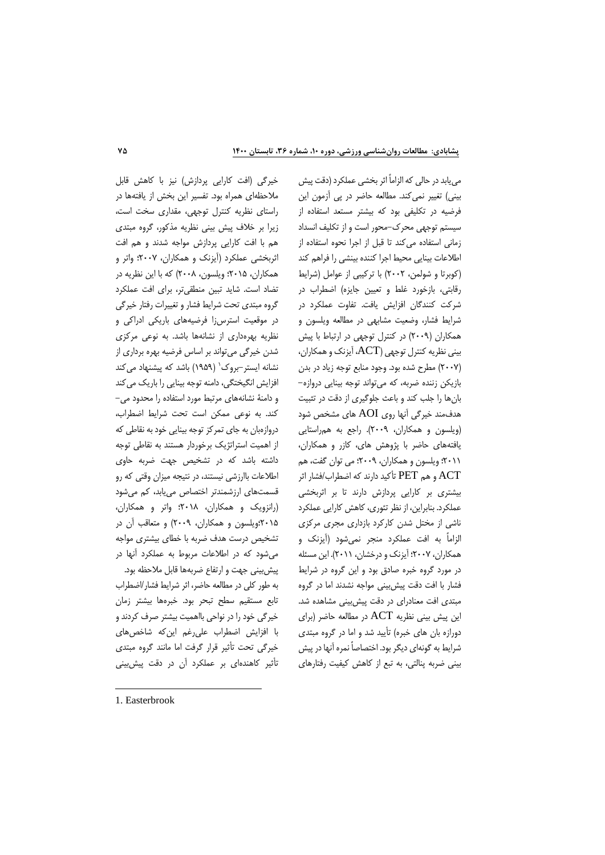مييابد در حالي كه الزاماً اثر بخشي عملكرد (دقت پيش بيني) تغيير نميكند. مطالعه حاضر در پي آزمون اين فرضيه در تكليفي بود كه بيشتر مستعد استفاده از سيستم توجهي محرك-محور است و از تكليف انسداد زماني استفاده ميكند تا قبل از اجرا نحوه استفاده از اطالعات بينايي محيط اجرا كننده بينشي را فراهم كند )كوبرتا و شولمن، 2002( با تركيبي از عوامل )شرايط رقابتي، بازخورد غلط و تعيين جايزه( اضطراب در شركت كنندگان افزايش يافت. تفاوت عملكرد در شرايط فشار، وضعيت مشابهي در مطالعه ويلسون و همكاران )2009( در كنترل توجهي در ارتباط با پيش بيني نظريه كنترل توجهي )ACT، آيزنك و همكاران، )2007( مطرح شده بود. وجود منابع توجه زياد در بدن بازيكن زننده ضربه، كه ميتواند توجه بينايي دروازه- بانها را جلب كند و باعث جلوگيري از دقت در تثبيت هدفمند خيرگي آنها روي AOI هاي مشخص شود )ويلسون و همكاران، 2009(. راجع به همراستايي يافتههاي حاضر با پژوهش هاي، كازر و همكاران، 2011؛ ويلسون و همكاران، 2009؛ مي توان گفت، هم ACT و هم PET تأكيد دارند كه اضطراب/فشار اثر بيشتري بر كارايي پردازش دارند تا بر اثربخشي عملكرد. بنابراين، از نظر تئوري، كاهش كارايي عملكرد ناشي از مختل شدن كاركرد بازداري مجري مركزي الزاماً به افت عملكرد منجر نميشود )آيزنك و همكاران، 2007؛ آيزنك و درخشان، 2011(. اين مسئله در مورد گروه خبره صادق بود و اين گروه در شرايط فشار با افت دقت پيشبيني مواجه نشدند اما در گروه مبتدي افت معنادراي در دقت پيشبيني مشاهده شد. اين پيش بيني نظريه  $\rm{ACT}$  در مطالعه حاضر (براي دورازه بان هاي خبره) تأييد شد و اما در گروه مبتدي شرايط به گونهاي ديگر بود. اختصاصاً نمره آنها در پيش بيني ضربه پنالتي، به تبع از كاهش كيفيت رفتارهاي

خيرگي (افت كارايي پردازش) نيز با كاهش قابل مالحظهاي همراه بود. تفسير اين بخش از يافتهها در راستاي نظريه كنترل توجهي، مقداري سخت است، زيرا بر خالف پيش بيني نظريه مذكور، گروه مبتدي هم با افت كارايي پردازش مواجه شدند و هم افت اثربخشي عملكرد )آيزنك و همكاران، 2007؛ واتر و همكاران، 2015؛ ويلسون، 2008( كه با اين نظريه در تضاد است. شايد تبين منطقيتر، براي افت عملكرد گروه مبتدي تحت شرايط فشار و تغييرات رفتار خيرگي در موقعيت استرسزا فرضيههاي باريكي ادراكي و نظريه بهرهداري از نشانهها باشد. به نوعي مركزي شدن خيرگي ميتواند بر اساس فرضيه بهره برداري از 1 نشانه ايستر-بروك )1959( باشد كه پيشنهاد ميكند افزايش انگيختگي، دامنه توجه بينايي را باريك ميكند و دامنۀ نشانههاي مرتبط مورد استفاده را محدود مي- كند. به نوعي ممكن است تحت شرايط اضطراب، دروازهبان به جاي تمركز توجه بينايي خود به نقاطي كه از اهميت استراتژيك برخوردار هستند به نقاطي توجه داشته باشد كه در تشخيص جهت ضربه حاوي اطالعات باارزشي نيستند، در نتيجه ميزان وقتي كه رو قسمتهاي ارزشمندتر اختصاص مييابد، كم ميشود )رانزويك و همكاران، 2018؛ واتر و همكاران، 2015؛ويلسون و همكاران، 2009( و متعاقب آن در تشخيص درست هدف ضربه با خطاي بيشتري مواجه ميشود كه در اطالعات مربوط به عملكرد آنها در پيشبيني جهت و ارتفاع ضربهها قابل مالحظه بود. به طور كلي در مطالعه حاضر، اثر شرايط فشار/اضطراب تابع مستقيم سطح تبحر بود. خبرهها بيشتر زمان خيرگي خود را در نواحي بااهميت بيشتر صرف كردند و با افزايش اضطراب عليرغم اينكه شاخصهاي خيرگي تحت تأثير قرار گرفت اما مانند گروه مبتدي تأثير كاهندهاي بر عملكرد آن در دقت پيشبيني

<sup>1.</sup> Easterbrook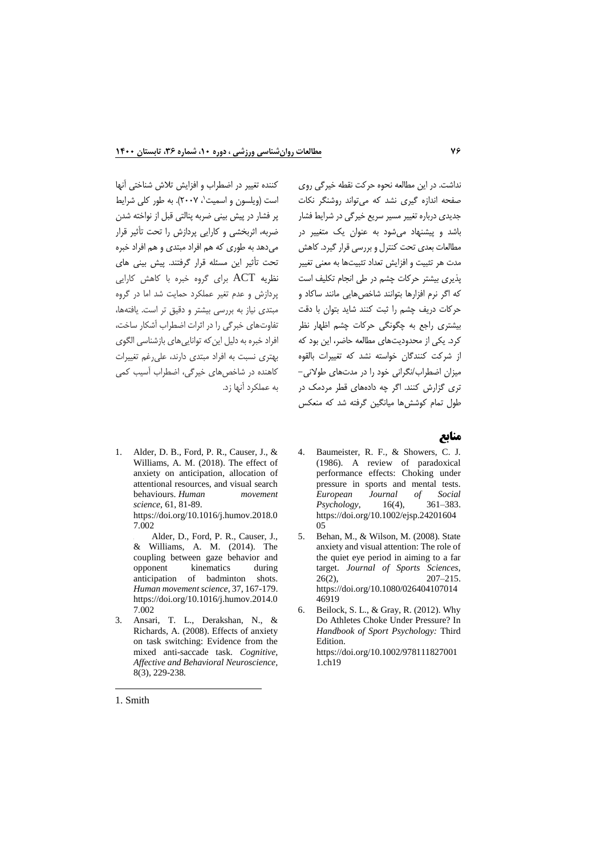نداشت. در اين مطالعه نحوه حركت نقطه خيرگي روي صفحه اندازه گيري نشد كه ميتواند روشنگر نكات جديدي درباره تغيير مسير سريع خيرگي در شرايط فشار باشد و پيشنهاد ميشود به عنوان يك متغيير در مطالعات بعدي تحت كنترل و بررسي قرار گيرد. كاهش مدت هر تثبيت و افزايش تعداد تثبيتها به معني تغيير پذيري بيشتر حركات چشم در طي انجام تكليف است كه اگر نرم افزارها بتوانند شاخصهايي مانند ساكاد و حركات دريف چشم را ثبت كنند شايد بتوان با دقت بيشتري راجع به چگونگي حركات چشم اظهار نظر كرد. يكي از محدوديتهاي مطالعه حاضر، اين بود كه از شركت كنندگان خواسته نشد كه تغييرات بالقوه ميزان اضطراب/نگراني خود را در مدتهاي طوالني- تري گزارش كنند. اگر چه دادههاي قطر مردمك در طول تمام كوششها ميانگين گرفته شد كه منعكس

كننده تغيير در اضطراب و افزايش تلاش شناختي آنها است (ويلسون و اسميت`، ۲۰۰۷). به طور كلي شرايط پر فشار در پيش بيني ضربه پنالتي قبل از نواخته شدن ضربه، اثربخشي و كارايي پردازش را تحت تأثير قرار ميدهد به طوري كه هم افراد مبتدي و هم افراد خبره تحت تأثير اين مسئله قرار گرفتند. پيش بيني هاي نظريه ACT براي گروه خبره با كاهش كارايي پردازش و عدم تغير عملكرد حمايت شد اما در گروه مبتدي نياز به بررسي بيشتر و دقيق تر است. يافتهها، تفاوتهاي خبرگي را در اثرات اضطراب آشكار ساخت، افراد خبره به دليل اين كه توانايي هاي بازشناسي الگوي بهتري نسبت به افراد مبتدي دارند، عليرغم تغييرات كاهنده در شاخصهاي خيرگي، اضطراب آسيب كمي به عملكرد آنها زد.

## **منابع**

1. Alder, D. B., Ford, P. R., Causer, J., & Williams, A. M. (2018). The effect of anxiety on anticipation, allocation of attentional resources, and visual search behaviours. *Human movement science*, 61, 81-89. [https://doi.org/10.1016/j.humov.2018.0](https://doi.org/10.1016/j.humov.2018.07.002) [7.002](https://doi.org/10.1016/j.humov.2018.07.002)

2. Alder, D., Ford, P. R., Causer, J., & Williams, A. M. (2014). The coupling between gaze behavior and opponent kinematics during anticipation of badminton shots. *Human movement science*, 37, 167-179. [https://doi.org/10.1016/j.humov.2014.0](https://doi.org/10.1016/j.humov.2014.07.002) [7.002](https://doi.org/10.1016/j.humov.2014.07.002)

3. [Ansari, T. L., Derakshan, N., &](https://link.springer.com/article/10.3758/CABN.8.3.229)  [Richards, A. \(2008\). Effects of anxiety](https://link.springer.com/article/10.3758/CABN.8.3.229)  [on task switching: Evidence from the](https://link.springer.com/article/10.3758/CABN.8.3.229)  [mixed anti-saccade task.](https://link.springer.com/article/10.3758/CABN.8.3.229) *Cognitive, [Affective and Behavioral Neuroscience,](https://link.springer.com/article/10.3758/CABN.8.3.229)* [8\(3\), 229-238](https://link.springer.com/article/10.3758/CABN.8.3.229)*.*

- 4. Baumeister, R. F., & Showers, C. J. (1986). A review of paradoxical performance effects: Choking under pressure in sports and mental tests. *European Journal of Social Psychology*, [https://doi.org/10.1002/ejsp.24201604](https://doi.org/10.1002/ejsp.2420160405) [05](https://doi.org/10.1002/ejsp.2420160405)
- 5. Behan, M., & Wilson, M. (2008). State anxiety and visual attention: The role of the quiet eye period in aiming to a far target. *Journal of Sports Sciences*, 26(2), 207–215. [https://doi.org/10.1080/026404107014](https://doi.org/10.1080/02640410701446919) [46919](https://doi.org/10.1080/02640410701446919)
- 6. Beilock, S. L., & Gray, R. (2012). Why Do Athletes Choke Under Pressure? In *Handbook of Sport Psychology:* Third **Edition** [https://doi.org/10.1002/978111827001](https://doi.org/10.1002/9781118270011.ch19) [1.ch19](https://doi.org/10.1002/9781118270011.ch19)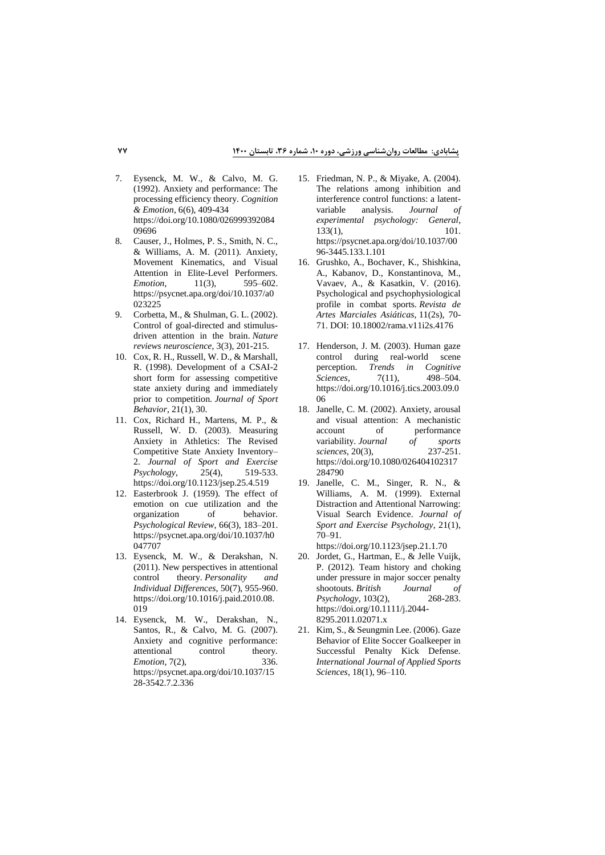- 7. Eysenck, M. W., & Calvo, M. G. (1992). Anxiety and performance: The processing efficiency theory. *Cognition & Emotion*, 6(6), 409-434 [https://doi.org/10.1080/026999392084](https://doi.org/10.1080/02699939208409696) [09696](https://doi.org/10.1080/02699939208409696)
- 8. Causer, J., Holmes, P. S., Smith, N. C., & Williams, A. M. (2011). Anxiety, Movement Kinematics, and Visual Attention in Elite-Level Performers. *Emotion.* 11(3), 595–602. [https://psycnet.apa.org/doi/10.1037/a0](https://psycnet.apa.org/doi/10.1037/a0023225) [023225](https://psycnet.apa.org/doi/10.1037/a0023225)
- 9. [Corbetta, M., & Shulman, G. L. \(2002\).](https://www.nature.com/articles/nrn755)  [Control of goal-directed and stimulus](https://www.nature.com/articles/nrn755)[driven attention in the brain.](https://www.nature.com/articles/nrn755) *Nature [reviews neuroscience](https://www.nature.com/articles/nrn755)*, 3(3), 201-215.
- 10. [Cox, R. H., Russell, W. D., & Marshall,](https://www.proquest.com/openview/0af1e4a2aaac33f31253a22e8ff0d027/1?pq-origsite=gscholar&cbl=30153)  [R. \(1998\). Development of a CSAI-2](https://www.proquest.com/openview/0af1e4a2aaac33f31253a22e8ff0d027/1?pq-origsite=gscholar&cbl=30153)  [short form for assessing competitive](https://www.proquest.com/openview/0af1e4a2aaac33f31253a22e8ff0d027/1?pq-origsite=gscholar&cbl=30153)  [state anxiety during and immediately](https://www.proquest.com/openview/0af1e4a2aaac33f31253a22e8ff0d027/1?pq-origsite=gscholar&cbl=30153)  [prior to competition.](https://www.proquest.com/openview/0af1e4a2aaac33f31253a22e8ff0d027/1?pq-origsite=gscholar&cbl=30153) *Journal of Sport Behavior*, [21\(1\), 30.](https://www.proquest.com/openview/0af1e4a2aaac33f31253a22e8ff0d027/1?pq-origsite=gscholar&cbl=30153)
- 11. Cox, Richard H., Martens, M. P., & Russell, W. D. (2003). Measuring Anxiety in Athletics: The Revised Competitive State Anxiety Inventory– 2. *Journal of Sport and Exercise Psychology*, 25(4), 519-533. <https://doi.org/10.1123/jsep.25.4.519>
- 12. Easterbrook J. (1959). The effect of emotion on cue utilization and the organization of behavior. *Psychological Review*, 66(3), 183–201. [https://psycnet.apa.org/doi/10.1037/h0](https://psycnet.apa.org/doi/10.1037/h0047707) [047707](https://psycnet.apa.org/doi/10.1037/h0047707)
- 13. Eysenck, M. W., & Derakshan, N. (2011). New perspectives in attentional control theory. *Personality and Individual Differences*, 50(7), 955-960. [https://doi.org/10.1016/j.paid.2010.08.](https://doi.org/10.1016/j.paid.2010.08.019) [019](https://doi.org/10.1016/j.paid.2010.08.019)
- 14. Eysenck, M. W., Derakshan, N., Santos, R., & Calvo, M. G. (2007). Anxiety and cognitive performance: attentional control theory. *Emotion*, 7(2), 336. [https://psycnet.apa.org/doi/10.1037/15](https://psycnet.apa.org/doi/10.1037/1528-3542.7.2.336) [28-3542.7.2.336](https://psycnet.apa.org/doi/10.1037/1528-3542.7.2.336)
- 15. Friedman, N. P., & Miyake, A. (2004). The relations among inhibition and interference control functions: a latent-<br>variable analysis. Journal of variable analysis. *Journal experimental psychology: General*, 133(1), 101. [https://psycnet.apa.org/doi/10.1037/00](https://psycnet.apa.org/doi/10.1037/0096-3445.133.1.101) [96-3445.133.1.101](https://psycnet.apa.org/doi/10.1037/0096-3445.133.1.101)
- 16. [Grushko, A., Bochaver, K., Shishkina,](http://revpubli.unileon.es/ojs/index.php/artesmarciales)  [A., Kabanov, D., Konstantinova, M.,](http://revpubli.unileon.es/ojs/index.php/artesmarciales)  [Vavaev, A., & Kasatkin, V. \(2016\).](http://revpubli.unileon.es/ojs/index.php/artesmarciales)  [Psychological and psychophysiological](http://revpubli.unileon.es/ojs/index.php/artesmarciales)  [profile in combat sports](http://revpubli.unileon.es/ojs/index.php/artesmarciales)*. Revista de [Artes Marciales Asiáticas](http://revpubli.unileon.es/ojs/index.php/artesmarciales)*, 11(2s), 70- [71.](http://revpubli.unileon.es/ojs/index.php/artesmarciales) [DOI: 10.18002/rama.v11i2s.4176](doi:%2010.18002/rama.v11i2s.4176)
- 17. Henderson, J. M. (2003). Human gaze control during real-world scene perception. *Trends in Cognitive Sciences*, 7(11), 498–504. [https://doi.org/10.1016/j.tics.2003.09.0](https://doi.org/10.1016/j.tics.2003.09.006) [06](https://doi.org/10.1016/j.tics.2003.09.006)
- 18. Janelle, C. M. (2002). Anxiety, arousal and visual attention: A mechanistic account of performance<br>variability. Journal of sports variability. *Journal* of *sports sciences*. 20(3). 237-251. *sciences*, 20(3), [https://doi.org/10.1080/026404102317](https://doi.org/10.1080/026404102317284790) [284790](https://doi.org/10.1080/026404102317284790)
- 19. Janelle, C. M., Singer, R. N., & Williams, A. M. (1999). External Distraction and Attentional Narrowing: Visual Search Evidence. *Journal of Sport and Exercise Psychology*, 21(1), 70–91.

https://doi.org/10.1123/jsep.21.1.70

- 20. Jordet, G., Hartman, E., & Jelle Vuijk, P. (2012). Team history and choking under pressure in major soccer penalty shootouts. *British Journal of*<br>*Psychology*, 103(2), 268-283. *Psychology*, 103(2), [https://doi.org/10.1111/j.2044-](https://doi.org/10.1111/j.2044-8295.2011.02071.x) [8295.2011.02071.x](https://doi.org/10.1111/j.2044-8295.2011.02071.x)
- 21. [Kim, S., & Seungmin Lee. \(2006\). Gaze](https://web.b.ebscohost.com/abstract?direct=true&profile=ehost&scope=site&authtype=crawler&jrnl=15982939&asa=Y&AN=23722330&h=cR1cAesOZ4rOg0wGQgjKWabKe3KDCgqxsbxkFvOF0O63T7QyXhrXnJLxwVOLbj8m0TjHU%2fmi1CvwMLtbjjgCzg%3d%3d&crl=c&resultNs=AdminWebAuth&resultLocal=ErrCrlNotAuth&crlhashurl=login.aspx%3fdirect%3dtrue%26profile%3dehost%26scope%3dsite%26authtype%3dcrawler%26jrnl%3d15982939%26asa%3dY%26AN%3d23722330)  [Behavior of Elite Soccer Goalkeeper in](https://web.b.ebscohost.com/abstract?direct=true&profile=ehost&scope=site&authtype=crawler&jrnl=15982939&asa=Y&AN=23722330&h=cR1cAesOZ4rOg0wGQgjKWabKe3KDCgqxsbxkFvOF0O63T7QyXhrXnJLxwVOLbj8m0TjHU%2fmi1CvwMLtbjjgCzg%3d%3d&crl=c&resultNs=AdminWebAuth&resultLocal=ErrCrlNotAuth&crlhashurl=login.aspx%3fdirect%3dtrue%26profile%3dehost%26scope%3dsite%26authtype%3dcrawler%26jrnl%3d15982939%26asa%3dY%26AN%3d23722330)  [Successful Penalty Kick Defense.](https://web.b.ebscohost.com/abstract?direct=true&profile=ehost&scope=site&authtype=crawler&jrnl=15982939&asa=Y&AN=23722330&h=cR1cAesOZ4rOg0wGQgjKWabKe3KDCgqxsbxkFvOF0O63T7QyXhrXnJLxwVOLbj8m0TjHU%2fmi1CvwMLtbjjgCzg%3d%3d&crl=c&resultNs=AdminWebAuth&resultLocal=ErrCrlNotAuth&crlhashurl=login.aspx%3fdirect%3dtrue%26profile%3dehost%26scope%3dsite%26authtype%3dcrawler%26jrnl%3d15982939%26asa%3dY%26AN%3d23722330)  *[International Journal of Applied Sports](https://web.b.ebscohost.com/abstract?direct=true&profile=ehost&scope=site&authtype=crawler&jrnl=15982939&asa=Y&AN=23722330&h=cR1cAesOZ4rOg0wGQgjKWabKe3KDCgqxsbxkFvOF0O63T7QyXhrXnJLxwVOLbj8m0TjHU%2fmi1CvwMLtbjjgCzg%3d%3d&crl=c&resultNs=AdminWebAuth&resultLocal=ErrCrlNotAuth&crlhashurl=login.aspx%3fdirect%3dtrue%26profile%3dehost%26scope%3dsite%26authtype%3dcrawler%26jrnl%3d15982939%26asa%3dY%26AN%3d23722330)  Sciences*[, 18\(1\), 96–110.](https://web.b.ebscohost.com/abstract?direct=true&profile=ehost&scope=site&authtype=crawler&jrnl=15982939&asa=Y&AN=23722330&h=cR1cAesOZ4rOg0wGQgjKWabKe3KDCgqxsbxkFvOF0O63T7QyXhrXnJLxwVOLbj8m0TjHU%2fmi1CvwMLtbjjgCzg%3d%3d&crl=c&resultNs=AdminWebAuth&resultLocal=ErrCrlNotAuth&crlhashurl=login.aspx%3fdirect%3dtrue%26profile%3dehost%26scope%3dsite%26authtype%3dcrawler%26jrnl%3d15982939%26asa%3dY%26AN%3d23722330)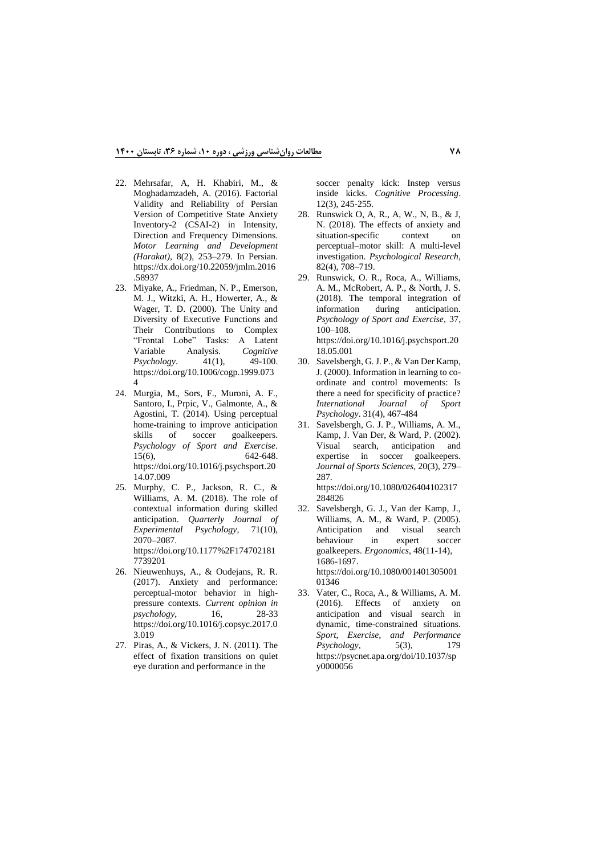- 22. Mehrsafar, A, H. Khabiri, M., & Moghadamzadeh, A. (2016). Factorial Validity and Reliability of Persian Version of Competitive State Anxiety Inventory-2 (CSAI-2) in Intensity, Direction and Frequency Dimensions. *Motor Learning and Development (Harakat)*, 8(2), 253–279. In Persian. [https://dx.doi.org/10.22059/jmlm.2016](https://dx.doi.org/10.22059/jmlm.2016.58937) [.58937](https://dx.doi.org/10.22059/jmlm.2016.58937)
- 23. Miyake, A., Friedman, N. P., Emerson, M. J., Witzki, A. H., Howerter, A., & Wager, T. D. (2000). The Unity and Diversity of Executive Functions and Their Contributions to Complex "Frontal Lobe" Tasks: A Latent<br>Variable Analysis. Cognitive Analysis. *Cognitive* 41(1), 49-100. *Psychology.* [https://doi.org/10.1006/cogp.1999.073](https://doi.org/10.1006/cogp.1999.0734) [4](https://doi.org/10.1006/cogp.1999.0734)
- 24. Murgia, M., Sors, F., Muroni, A. F., Santoro, I., Prpic, V., Galmonte, A., & Agostini, T. (2014). Using perceptual home-training to improve anticipation skills of soccer goalkeepers. *Psychology of Sport and Exercise*. 15(6), 642-648. [https://doi.org/10.1016/j.psychsport.20](https://doi.org/10.1016/j.psychsport.2014.07.009) [14.07.009](https://doi.org/10.1016/j.psychsport.2014.07.009)
- 25. Murphy, C. P., Jackson, R. C., & Williams, A. M. (2018). The role of contextual information during skilled anticipation. *Quarterly Journal of Experimental Psychology*, 71(10), 2070–2087. [https://doi.org/10.1177%2F174702181](https://doi.org/10.1177%2F1747021817739201) [7739201](https://doi.org/10.1177%2F1747021817739201)
- 26. Nieuwenhuys, A., & Oudejans, R. R. (2017). Anxiety and performance: perceptual-motor behavior in highpressure contexts. *Current opinion in psychology*, 16, 28-33 [https://doi.org/10.1016/j.copsyc.2017.0](https://doi.org/10.1016/j.copsyc.2017.03.019) [3.019](https://doi.org/10.1016/j.copsyc.2017.03.019)
- 27. [Piras, A., & Vickers, J. N. \(2011\). The](https://link.springer.com/article/10.1007%2Fs10339-011-0406-z)  [effect of fixation transitions on quiet](https://link.springer.com/article/10.1007%2Fs10339-011-0406-z)  [eye duration and performance in the](https://link.springer.com/article/10.1007%2Fs10339-011-0406-z)

[soccer penalty kick: Instep versus](https://link.springer.com/article/10.1007%2Fs10339-011-0406-z)  inside kicks. *[Cognitive Processing](https://link.springer.com/article/10.1007%2Fs10339-011-0406-z)*. [12\(3\), 245-255.](https://link.springer.com/article/10.1007%2Fs10339-011-0406-z)

- 28. [Runswick O, A, R., A, W., N, B., & J,](https://link.springer.com/article/10.1007/s00426-017-0856-8)  [N. \(2018\). The effects of anxiety and](https://link.springer.com/article/10.1007/s00426-017-0856-8)  situation-specific context on [perceptual–motor skill: A multi-level](https://link.springer.com/article/10.1007/s00426-017-0856-8)  investigation. *[Psychological Research](https://link.springer.com/article/10.1007/s00426-017-0856-8)*, [82\(4\), 708–719.](https://link.springer.com/article/10.1007/s00426-017-0856-8)
- 29. Runswick, O. R., Roca, A., Williams, A. M., McRobert, A. P., & North, J. S. (2018). The temporal integration of information during anticipation. *Psychology of Sport and Exercise*, 37, 100–108. [https://doi.org/10.1016/j.psychsport.20](https://doi.org/10.1016/j.psychsport.2018.05.001)

[18.05.001](https://doi.org/10.1016/j.psychsport.2018.05.001)

- 30. [Savelsbergh, G. J. P., & Van Der Kamp,](https://psycnet.apa.org/record/2001-16706-004)  [J. \(2000\). Information in learning to co](https://psycnet.apa.org/record/2001-16706-004)[ordinate and control movements: Is](https://psycnet.apa.org/record/2001-16706-004)  [there a need for specificity of practice?](https://psycnet.apa.org/record/2001-16706-004)  *[International Journal of Sport](https://psycnet.apa.org/record/2001-16706-004)  Psychology*. [31\(4\), 467-484](https://psycnet.apa.org/record/2001-16706-004)
- 31. Savelsbergh, G. J. P., Williams, A. M., Kamp, J. Van Der, & Ward, P. (2002). Visual search, anticipation and expertise in soccer goalkeepers. *Journal of Sports Sciences*, 20(3), 279– 287.

[https://doi.org/10.1080/026404102317](https://doi.org/10.1080/026404102317284826) [284826](https://doi.org/10.1080/026404102317284826)

32. Savelsbergh, G. J., Van der Kamp, J., Williams, A. M., & Ward, P. (2005). Anticipation and visual search behaviour in expert soccer goalkeepers. *Ergonomics*, 48(11-14), 1686-1697. [https://doi.org/10.1080/001401305001](https://doi.org/10.1080/00140130500101346)

[01346](https://doi.org/10.1080/00140130500101346)

33. Vater, C., Roca, A., & Williams, A. M. (2016). Effects of anxiety on anticipation and visual search in dynamic, time-constrained situations. *Sport, Exercise, and Performance Psychology*, 5(3), 179 [https://psycnet.apa.org/doi/10.1037/sp](https://psycnet.apa.org/doi/10.1037/spy0000056) [y0000056](https://psycnet.apa.org/doi/10.1037/spy0000056)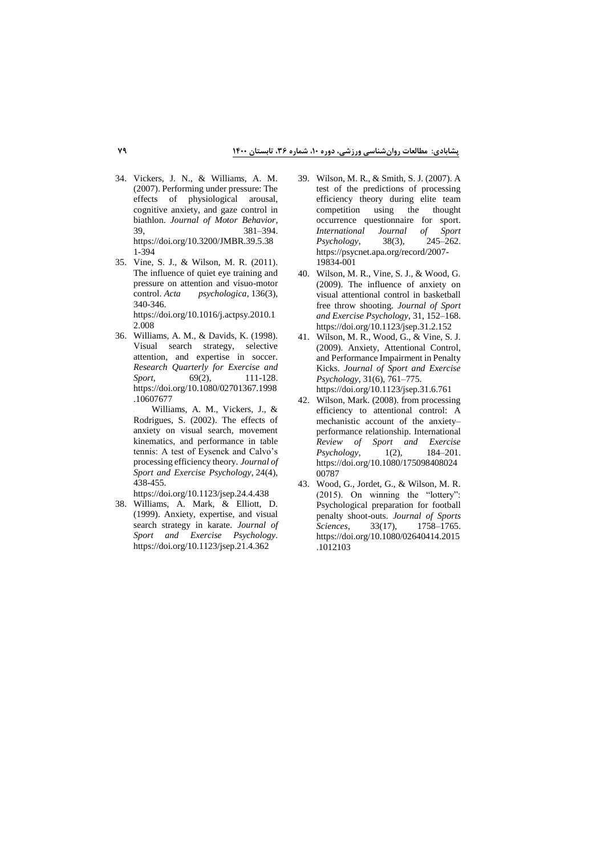- 34. Vickers, J. N., & Williams, A. M. (2007). Performing under pressure: The effects of physiological arousal, cognitive anxiety, and gaze control in biathlon. *Journal of Motor Behavior*, 39, 381–394. [https://doi.org/10.3200/JMBR.39.5.38](https://doi.org/10.3200/JMBR.39.5.381-394) [1-394](https://doi.org/10.3200/JMBR.39.5.381-394)
- 35. Vine, S. J., & Wilson, M. R. (2011). The influence of quiet eye training and pressure on attention and visuo-motor<br>control. Acta psychologica, 136(3), psychologica, 136(3), 340-346. [https://doi.org/10.1016/j.actpsy.2010.1](https://doi.org/10.1016/j.actpsy.2010.12.008)

[2.008](https://doi.org/10.1016/j.actpsy.2010.12.008)

36. Williams, A. M., & Davids, K. (1998). Visual search strategy, selective attention, and expertise in soccer. *Research Quarterly for Exercise and Sport*, 69(2), 111-128. [https://doi.org/10.1080/02701367.1998](https://doi.org/10.1080/02701367.1998.10607677) [.10607677](https://doi.org/10.1080/02701367.1998.10607677)

> 37. Williams, A. M., Vickers, J., & Rodrigues, S. (2002). The effects of anxiety on visual search, movement kinematics, and performance in table tennis: A test of Eysenck and Calvo's processing efficiency theory. *Journal of Sport and Exercise Psychology*, 24(4), 438-455.

<https://doi.org/10.1123/jsep.24.4.438>

38. Williams, A. Mark, & Elliott, D. (1999). Anxiety, expertise, and visual search strategy in karate. *Journal of Sport and Exercise Psychology*. <https://doi.org/10.1123/jsep.21.4.362>

- 39. Wilson, M. R., & Smith, S. J. (2007). A test of the predictions of processing efficiency theory during elite team competition using the thought occurrence questionnaire for sport.<br>International Journal of Sport *International Journal of Sport Psychology*, 38(3), [https://psycnet.apa.org/record/2007-](https://psycnet.apa.org/record/2007-19834-001) [19834-001](https://psycnet.apa.org/record/2007-19834-001)
- 40. Wilson, M. R., Vine, S. J., & Wood, G. (2009). The influence of anxiety on visual attentional control in basketball free throw shooting. *Journal of Sport and Exercise Psychology*, 31, 152–168. <https://doi.org/10.1123/jsep.31.2.152>
- 41. Wilson, M. R., Wood, G., & Vine, S. J. (2009). Anxiety, Attentional Control, and Performance Impairment in Penalty Kicks. *Journal of Sport and Exercise Psychology*, 31(6), 761–775. <https://doi.org/10.1123/jsep.31.6.761>
- 42. Wilson, Mark. (2008). from processing efficiency to attentional control: A mechanistic account of the anxiety– performance relationship. International *Review of Sport and Exercise Psychology*, 1(2), 184–201. [https://doi.org/10.1080/175098408024](https://doi.org/10.1080/17509840802400787) [00787](https://doi.org/10.1080/17509840802400787)
- 43. Wood, G., Jordet, G., & Wilson, M. R. (2015). On winning the "lottery": Psychological preparation for football penalty shoot-outs. *Journal of Sports Sciences*, 33(17), 1758–1765. [https://doi.org/10.1080/02640414.2](https://doi.org/10.1080/02640414)015 .1012103